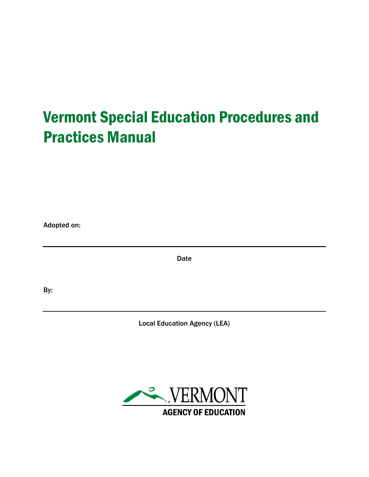# Vermont Special Education Procedures and Practices Manual

Adopted on:

**Date** 

By:

Local Education Agency (LEA)

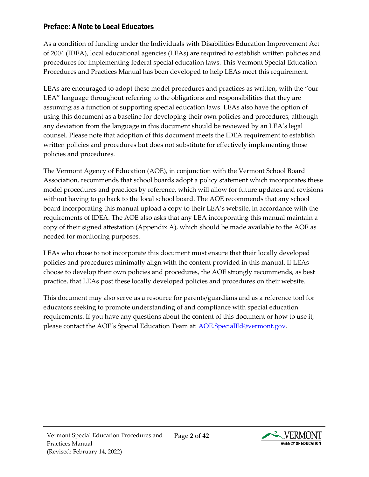# <span id="page-1-0"></span>Preface: A Note to Local Educators

As a condition of funding under the Individuals with Disabilities Education Improvement Act of 2004 (IDEA), local educational agencies (LEAs) are required to establish written policies and procedures for implementing federal special education laws. This Vermont Special Education Procedures and Practices Manual has been developed to help LEAs meet this requirement.

LEAs are encouraged to adopt these model procedures and practices as written, with the "our LEA" language throughout referring to the obligations and responsibilities that they are assuming as a function of supporting special education laws. LEAs also have the option of using this document as a baseline for developing their own policies and procedures, although any deviation from the language in this document should be reviewed by an LEA's legal counsel. Please note that adoption of this document meets the IDEA requirement to establish written policies and procedures but does not substitute for effectively implementing those policies and procedures.

The Vermont Agency of Education (AOE), in conjunction with the Vermont School Board Association, recommends that school boards adopt a policy statement which incorporates these model procedures and practices by reference, which will allow for future updates and revisions without having to go back to the local school board. The AOE recommends that any school board incorporating this manual upload a copy to their LEA's website, in accordance with the requirements of IDEA. The AOE also asks that any LEA incorporating this manual maintain a copy of their signed attestation (Appendix A), which should be made available to the AOE as needed for monitoring purposes.

LEAs who chose to not incorporate this document must ensure that their locally developed policies and procedures minimally align with the content provided in this manual. If LEAs choose to develop their own policies and procedures, the AOE strongly recommends, as best practice, that LEAs post these locally developed policies and procedures on their website.

This document may also serve as a resource for parents/guardians and as a reference tool for educators seeking to promote understanding of and compliance with special education requirements. If you have any questions about the content of this document or how to use it, please contact the AOE's Special Education Team at: [AOE.SpecialEd@vermont.gov.](mailto:AOE.SpecialEd@vermont.gov)

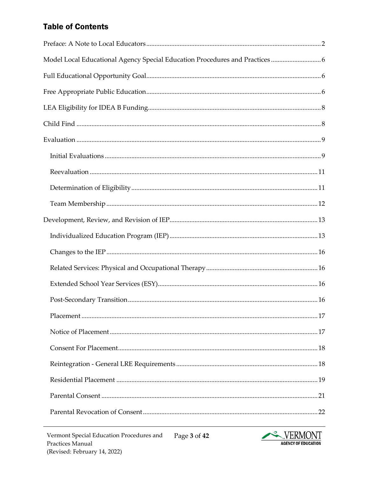# **Table of Contents**

| Model Local Educational Agency Special Education Procedures and Practices  6 |  |
|------------------------------------------------------------------------------|--|
|                                                                              |  |
|                                                                              |  |
|                                                                              |  |
|                                                                              |  |
|                                                                              |  |
|                                                                              |  |
|                                                                              |  |
|                                                                              |  |
|                                                                              |  |
|                                                                              |  |
|                                                                              |  |
|                                                                              |  |
|                                                                              |  |
|                                                                              |  |
|                                                                              |  |
|                                                                              |  |
|                                                                              |  |
|                                                                              |  |
|                                                                              |  |
|                                                                              |  |
|                                                                              |  |
|                                                                              |  |

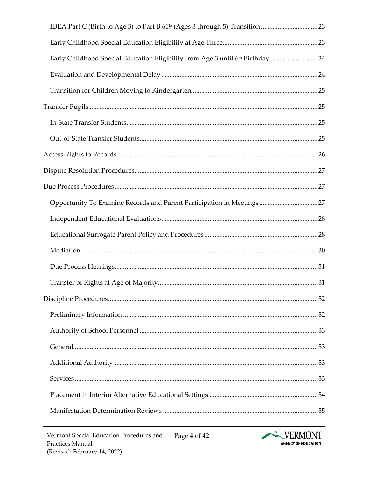| Early Childhood Special Education Eligibility from Age 3 until 6th Birthday24 |  |
|-------------------------------------------------------------------------------|--|
|                                                                               |  |
|                                                                               |  |
|                                                                               |  |
|                                                                               |  |
|                                                                               |  |
|                                                                               |  |
|                                                                               |  |
|                                                                               |  |
|                                                                               |  |
|                                                                               |  |
|                                                                               |  |
|                                                                               |  |
|                                                                               |  |
|                                                                               |  |
|                                                                               |  |
|                                                                               |  |
|                                                                               |  |
|                                                                               |  |
|                                                                               |  |
|                                                                               |  |
|                                                                               |  |
|                                                                               |  |

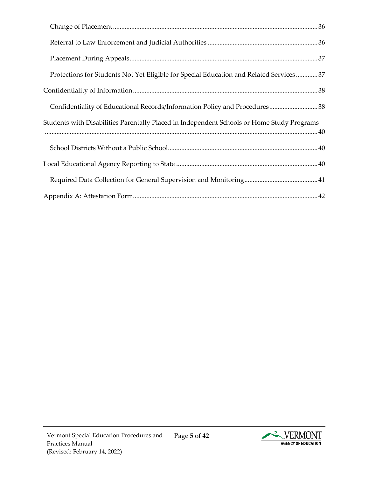| Protections for Students Not Yet Eligible for Special Education and Related Services37     |
|--------------------------------------------------------------------------------------------|
|                                                                                            |
| Confidentiality of Educational Records/Information Policy and Procedures 38                |
| Students with Disabilities Parentally Placed in Independent Schools or Home Study Programs |
|                                                                                            |
|                                                                                            |
|                                                                                            |
|                                                                                            |

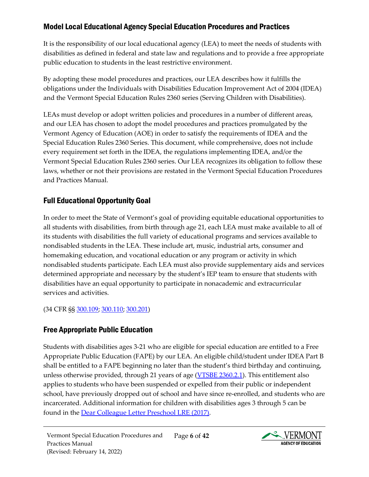# <span id="page-5-0"></span>Model Local Educational Agency Special Education Procedures and Practices

It is the responsibility of our local educational agency (LEA) to meet the needs of students with disabilities as defined in federal and state law and regulations and to provide a free appropriate public education to students in the least restrictive environment.

By adopting these model procedures and practices, our LEA describes how it fulfills the obligations under the Individuals with Disabilities Education Improvement Act of 2004 (IDEA) and the Vermont Special Education Rules 2360 series (Serving Children with Disabilities).

LEAs must develop or adopt written policies and procedures in a number of different areas, and our LEA has chosen to adopt the model procedures and practices promulgated by the Vermont Agency of Education (AOE) in order to satisfy the requirements of IDEA and the Special Education Rules 2360 Series. This document, while comprehensive, does not include every requirement set forth in the IDEA, the regulations implementing IDEA, and/or the Vermont Special Education Rules 2360 series. Our LEA recognizes its obligation to follow these laws, whether or not their provisions are restated in the Vermont Special Education Procedures and Practices Manual.

# <span id="page-5-1"></span>Full Educational Opportunity Goal

In order to meet the State of Vermont's goal of providing equitable educational opportunities to all students with disabilities, from birth through age 21, each LEA must make available to all of its students with disabilities the full variety of educational programs and services available to nondisabled students in the LEA. These include art, music, industrial arts, consumer and homemaking education, and vocational education or any program or activity in which nondisabled students participate. Each LEA must also provide supplementary aids and services determined appropriate and necessary by the student's IEP team to ensure that students with disabilities have an equal opportunity to participate in nonacademic and extracurricular services and activities.

(34 CFR §§ [300.109;](https://sites.ed.gov/idea/regs/b/b/300.109) [300.110;](https://sites.ed.gov/idea/regs/b/b/300.110) [300.201\)](https://sites.ed.gov/idea/regs/b/c/300.201)

# <span id="page-5-2"></span>Free Appropriate Public Education

Students with disabilities ages 3-21 who are eligible for special education are entitled to a Free Appropriate Public Education (FAPE) by our LEA. An eligible child/student under IDEA Part B shall be entitled to a FAPE beginning no later than the student's third birthday and continuing, unless otherwise provided, through 21 years of age [\(VTSBE 2360.2.1\)](https://education.vermont.gov/sites/aoe/files/documents/edu-series-2360-special-education-rules.pdf#page=11). This entitlement also applies to students who have been suspended or expelled from their public or independent school, have previously dropped out of school and have since re-enrolled, and students who are incarcerated. Additional information for children with disabilities ages 3 through 5 can be found in the [Dear Colleague Letter Preschool LRE \(2017\).](https://sites.ed.gov/idea/files/policy_speced_guid_idea_memosdcltrs_preschool-lre-dcl-1-10-17.pdf)

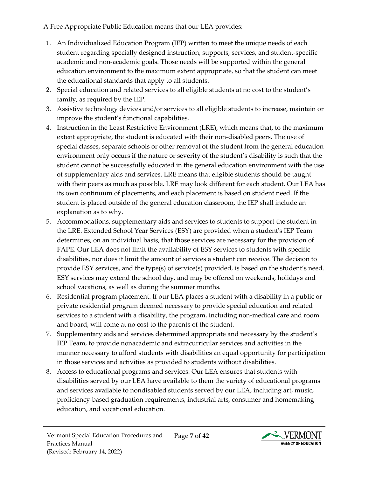A Free Appropriate Public Education means that our LEA provides:

- 1. An Individualized Education Program (IEP) written to meet the unique needs of each student regarding specially designed instruction, supports, services, and student-specific academic and non-academic goals. Those needs will be supported within the general education environment to the maximum extent appropriate, so that the student can meet the educational standards that apply to all students.
- 2. Special education and related services to all eligible students at no cost to the student's family, as required by the IEP.
- 3. Assistive technology devices and/or services to all eligible students to increase, maintain or improve the student's functional capabilities.
- 4. Instruction in the Least Restrictive Environment (LRE), which means that, to the maximum extent appropriate, the student is educated with their non-disabled peers. The use of special classes, separate schools or other removal of the student from the general education environment only occurs if the nature or severity of the student's disability is such that the student cannot be successfully educated in the general education environment with the use of supplementary aids and services. LRE means that eligible students should be taught with their peers as much as possible. LRE may look different for each student. Our LEA has its own continuum of placements, and each placement is based on student need. If the student is placed outside of the general education classroom, the IEP shall include an explanation as to why.
- 5. Accommodations, supplementary aids and services to students to support the student in the LRE. Extended School Year Services (ESY) are provided when a student's IEP Team determines, on an individual basis, that those services are necessary for the provision of FAPE. Our LEA does not limit the availability of ESY services to students with specific disabilities, nor does it limit the amount of services a student can receive. The decision to provide ESY services, and the type(s) of service(s) provided, is based on the student's need. ESY services may extend the school day, and may be offered on weekends, holidays and school vacations, as well as during the summer months.
- 6. Residential program placement. If our LEA places a student with a disability in a public or private residential program deemed necessary to provide special education and related services to a student with a disability, the program, including non-medical care and room and board, will come at no cost to the parents of the student.
- 7. Supplementary aids and services determined appropriate and necessary by the student's IEP Team, to provide nonacademic and extracurricular services and activities in the manner necessary to afford students with disabilities an equal opportunity for participation in those services and activities as provided to students without disabilities.
- 8. Access to educational programs and services. Our LEA ensures that students with disabilities served by our LEA have available to them the variety of educational programs and services available to nondisabled students served by our LEA, including art, music, proficiency-based graduation requirements, industrial arts, consumer and homemaking education, and vocational education.

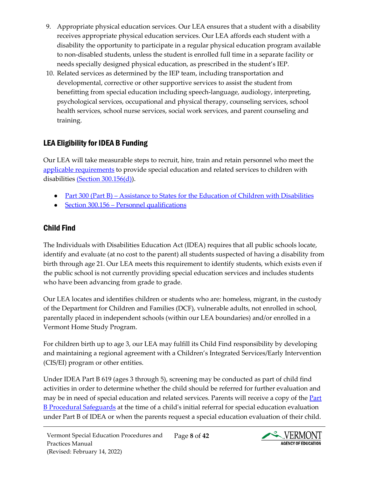- 9. Appropriate physical education services. Our LEA ensures that a student with a disability receives appropriate physical education services. Our LEA affords each student with a disability the opportunity to participate in a regular physical education program available to non-disabled students, unless the student is enrolled full time in a separate facility or needs specially designed physical education, as prescribed in the student's IEP.
- 10. Related services as determined by the IEP team, including transportation and developmental, corrective or other supportive services to assist the student from benefitting from special education including speech-language, audiology, interpreting, psychological services, occupational and physical therapy, counseling services, school health services, school nurse services, social work services, and parent counseling and training.

# <span id="page-7-0"></span>LEA Eligibility for IDEA B Funding

Our LEA will take measurable steps to recruit, hire, train and retain personnel who meet the [applicable requirements](https://sites.ed.gov/idea/regs/b/b/300.156/c) to provide special education and related services to children with disabilities [\(Section 300.156\(d\)\)](https://sites.ed.gov/idea/regs/b/b/300.156/d).

- Part 300 (Part B) Assistance to States for the Education of Children with Disabilities
- [Section 300.156 Personnel qualifications](https://sites.ed.gov/idea/regs/b/b/300.156)  $\bullet$

# <span id="page-7-1"></span>Child Find

The Individuals with Disabilities Education Act (IDEA) requires that all public schools locate, identify and evaluate (at no cost to the parent) all students suspected of having a disability from birth through age 21. Our LEA meets this requirement to identify students, which exists even if the public school is not currently providing special education services and includes students who have been advancing from grade to grade.

Our LEA locates and identifies children or students who are: homeless, migrant, in the custody of the Department for Children and Families (DCF), vulnerable adults, not enrolled in school, parentally placed in independent schools (within our LEA boundaries) and/or enrolled in a Vermont Home Study Program.

For children birth up to age 3, our LEA may fulfill its Child Find responsibility by developing and maintaining a regional agreement with a Children's Integrated Services/Early Intervention (CIS/EI) program or other entities.

Under IDEA Part B 619 (ages 3 through 5), screening may be conducted as part of child find activities in order to determine whether the child should be referred for further evaluation and may be in need of special education and related services. Parents will receive a copy of the Part [B Procedural Safeguards](https://education.vermont.gov/documents/notice-of-procedural-safeguards-rights-of-parents-of-students-with-disabilities) at the time of a child's initial referral for special education evaluation under Part B of IDEA or when the parents request a special education evaluation of their child.

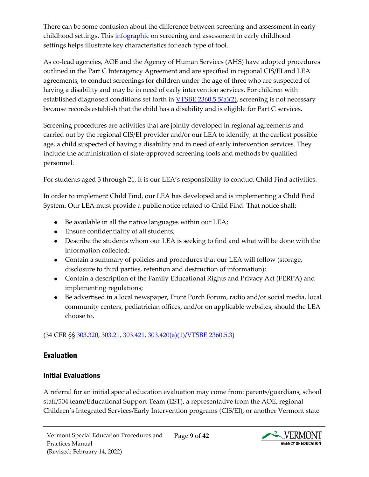There can be some confusion about the difference between screening and assessment in early childhood settings. This *infographic* on screening and assessment in early childhood settings helps illustrate key characteristics for each type of tool.

As co-lead agencies, AOE and the Agency of Human Services (AHS) have adopted procedures outlined in the Part C Interagency Agreement and are specified in regional CIS/EI and LEA agreements, to conduct screenings for children under the age of three who are suspected of having a disability and may be in need of early intervention services. For children with established diagnosed conditions set forth in **VTSBE 2360.5.5(a)(2)**, screening is not necessary because records establish that the child has a disability and is eligible for Part C services.

Screening procedures are activities that are jointly developed in regional agreements and carried out by the regional CIS/EI provider and/or our LEA to identify, at the earliest possible age, a child suspected of having a disability and in need of early intervention services. They include the administration of state-approved screening tools and methods by qualified personnel.

For students aged 3 through 21, it is our LEA's responsibility to conduct Child Find activities.

In order to implement Child Find, our LEA has developed and is implementing a Child Find System. Our LEA must provide a public notice related to Child Find. That notice shall:

- Be available in all the native languages within our LEA;
- Ensure confidentiality of all students;
- Describe the students whom our LEA is seeking to find and what will be done with the information collected;
- Contain a summary of policies and procedures that our LEA will follow (storage, disclosure to third parties, retention and destruction of information);
- Contain a description of the Family Educational Rights and Privacy Act (FERPA) and implementing regulations;
- Be advertised in a local newspaper, Front Porch Forum, radio and/or social media, local community centers, pediatrician offices, and/or on applicable websites, should the LEA choose to.

(34 CFR §§ [303.320,](https://sites.ed.gov/idea/regs/c/d/303.320) [303.21,](https://sites.ed.gov/idea/regs/c/a/303.21) [303.421,](https://sites.ed.gov/idea/regs/c/e/303.421) [303.420\(a\)\(1\)](https://sites.ed.gov/idea/regs/c/e/303.420/a/1)[/VTSBE 2360.5.3\)](https://education.vermont.gov/sites/aoe/files/documents/edu-series-2360-special-education-rules.pdf#page=37)

# <span id="page-8-0"></span>Evaluation

# <span id="page-8-1"></span>Initial Evaluations

A referral for an initial special education evaluation may come from: parents/guardians, school staff/504 team/Educational Support Team (EST), a representative from the AOE, regional Children's Integrated Services/Early Intervention programs (CIS/EI), or another Vermont state

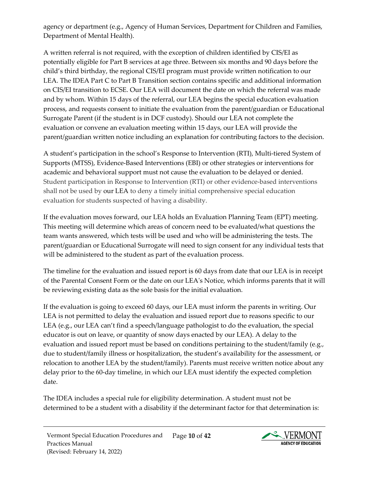agency or department (e.g., Agency of Human Services, Department for Children and Families, Department of Mental Health).

A written referral is not required, with the exception of children identified by CIS/EI as potentially eligible for Part B services at age three. Between six months and 90 days before the child's third birthday, the regional CIS/EI program must provide written notification to our LEA. The IDEA Part C to Part B Transition section contains specific and additional information on CIS/EI transition to ECSE. Our LEA will document the date on which the referral was made and by whom. Within 15 days of the referral, our LEA begins the special education evaluation process, and requests consent to initiate the evaluation from the parent/guardian or Educational Surrogate Parent (if the student is in DCF custody). Should our LEA not complete the evaluation or convene an evaluation meeting within 15 days, our LEA will provide the parent/guardian written notice including an explanation for contributing factors to the decision.

A student's participation in the school's Response to Intervention (RTI), Multi-tiered System of Supports (MTSS), Evidence-Based Interventions (EBI) or other strategies or interventions for academic and behavioral support must not cause the evaluation to be delayed or denied. Student participation in Response to Intervention (RTI) or other evidence-based interventions shall not be used by our LEA to deny a timely initial comprehensive special education evaluation for students suspected of having a disability.

If the evaluation moves forward, our LEA holds an Evaluation Planning Team (EPT) meeting. This meeting will determine which areas of concern need to be evaluated/what questions the team wants answered, which tests will be used and who will be administering the tests. The parent/guardian or Educational Surrogate will need to sign consent for any individual tests that will be administered to the student as part of the evaluation process.

The timeline for the evaluation and issued report is 60 days from date that our LEA is in receipt of the Parental Consent Form or the date on our LEA's Notice, which informs parents that it will be reviewing existing data as the sole basis for the initial evaluation.

If the evaluation is going to exceed 60 days, our LEA must inform the parents in writing. Our LEA is not permitted to delay the evaluation and issued report due to reasons specific to our LEA (e.g., our LEA can't find a speech/language pathologist to do the evaluation, the special educator is out on leave, or quantity of snow days enacted by our LEA). A delay to the evaluation and issued report must be based on conditions pertaining to the student/family (e.g., due to student/family illness or hospitalization, the student's availability for the assessment, or relocation to another LEA by the student/family). Parents must receive written notice about any delay prior to the 60-day timeline, in which our LEA must identify the expected completion date.

The IDEA includes a special rule for eligibility determination. A student must not be determined to be a student with a disability if the determinant factor for that determination is:

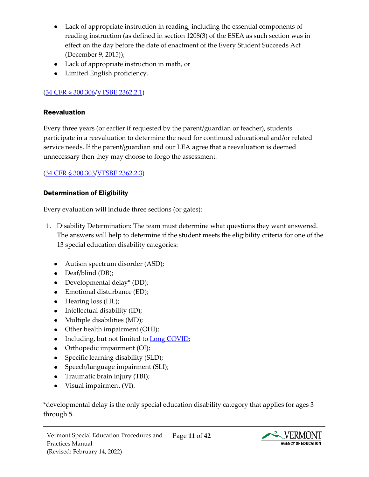- Lack of appropriate instruction in reading, including the essential components of reading instruction (as defined in section 1208(3) of the ESEA as such section was in effect on the day before the date of enactment of the Every Student Succeeds Act (December 9, 2015));
- Lack of appropriate instruction in math, or
- Limited English proficiency.

## [\(34 CFR § 300.306/](https://sites.ed.gov/idea/regs/b/d/300.306)[VTSBE 2362.2.1\)](https://education.vermont.gov/sites/aoe/files/documents/edu-series-2360-special-education-rules.pdf#page=76)

#### <span id="page-10-0"></span>Reevaluation

Every three years (or earlier if requested by the parent/guardian or teacher), students participate in a reevaluation to determine the need for continued educational and/or related service needs. If the parent/guardian and our LEA agree that a reevaluation is deemed unnecessary then they may choose to forgo the assessment.

#### [\(34 CFR § 300.303/](https://sites.ed.gov/idea/regs/b/d/300.303)[VTSBE 2362.2.3\)](https://education.vermont.gov/sites/aoe/files/documents/edu-series-2360-special-education-rules.pdf#page=79)

#### <span id="page-10-1"></span>Determination of Eligibility

Every evaluation will include three sections (or gates):

- 1. Disability Determination: The team must determine what questions they want answered. The answers will help to determine if the student meets the eligibility criteria for one of the 13 special education disability categories:
	- Autism spectrum disorder (ASD);
	- Deaf/blind (DB);
	- Developmental delay\* (DD);
	- Emotional disturbance (ED);
	- Hearing loss (HL);
	- Intellectual disability (ID);
	- Multiple disabilities (MD);
	- Other health impairment (OHI);
	- Including, but not limited to [Long COVID;](https://sites.ed.gov/idea/files/ocr-factsheet-504-20210726.pdf)
	- Orthopedic impairment (OI);
	- Specific learning disability (SLD);
	- Speech/language impairment (SLI);
	- Traumatic brain injury (TBI);
	- Visual impairment (VI).

\*developmental delay is the only special education disability category that applies for ages 3 through 5.

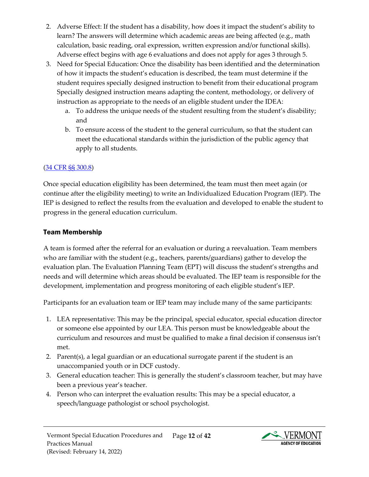- 2. Adverse Effect: If the student has a disability, how does it impact the student's ability to learn? The answers will determine which academic areas are being affected (e.g., math calculation, basic reading, oral expression, written expression and/or functional skills). Adverse effect begins with age 6 evaluations and does not apply for ages 3 through 5.
- 3. Need for Special Education: Once the disability has been identified and the determination of how it impacts the student's education is described, the team must determine if the student requires specially designed instruction to benefit from their educational program Specially designed instruction means adapting the content, methodology, or delivery of instruction as appropriate to the needs of an eligible student under the IDEA:
	- a. To address the unique needs of the student resulting from the student's disability; and
	- b. To ensure access of the student to the general curriculum, so that the student can meet the educational standards within the jurisdiction of the public agency that apply to all students.

# [\(34 CFR §§ 300.8\)](https://sites.ed.gov/idea/regs/b/a/300.8)

Once special education eligibility has been determined, the team must then meet again (or continue after the eligibility meeting) to write an Individualized Education Program (IEP). The IEP is designed to reflect the results from the evaluation and developed to enable the student to progress in the general education curriculum.

## <span id="page-11-0"></span>Team Membership

A team is formed after the referral for an evaluation or during a reevaluation. Team members who are familiar with the student (e.g., teachers, parents/guardians) gather to develop the evaluation plan. The Evaluation Planning Team (EPT) will discuss the student's strengths and needs and will determine which areas should be evaluated. The IEP team is responsible for the development, implementation and progress monitoring of each eligible student's IEP.

Participants for an evaluation team or IEP team may include many of the same participants:

- 1. LEA representative: This may be the principal, special educator, special education director or someone else appointed by our LEA. This person must be knowledgeable about the curriculum and resources and must be qualified to make a final decision if consensus isn't met.
- 2. Parent(s), a legal guardian or an educational surrogate parent if the student is an unaccompanied youth or in DCF custody.
- 3. General education teacher: This is generally the student's classroom teacher, but may have been a previous year's teacher.
- 4. Person who can interpret the evaluation results: This may be a special educator, a speech/language pathologist or school psychologist.

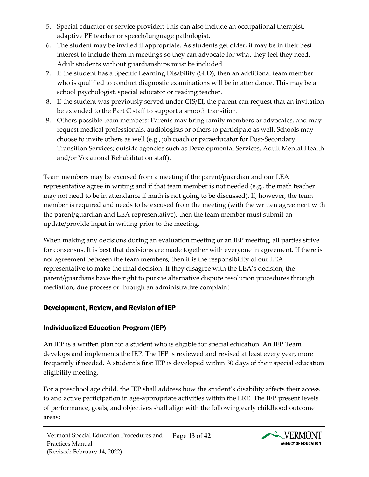- 5. Special educator or service provider: This can also include an occupational therapist, adaptive PE teacher or speech/language pathologist.
- 6. The student may be invited if appropriate. As students get older, it may be in their best interest to include them in meetings so they can advocate for what they feel they need. Adult students without guardianships must be included.
- 7. If the student has a Specific Learning Disability (SLD), then an additional team member who is qualified to conduct diagnostic examinations will be in attendance. This may be a school psychologist, special educator or reading teacher.
- 8. If the student was previously served under CIS/EI, the parent can request that an invitation be extended to the Part C staff to support a smooth transition.
- 9. Others possible team members: Parents may bring family members or advocates, and may request medical professionals, audiologists or others to participate as well. Schools may choose to invite others as well (e.g., job coach or paraeducator for Post-Secondary Transition Services; outside agencies such as Developmental Services, Adult Mental Health and/or Vocational Rehabilitation staff).

Team members may be excused from a meeting if the parent/guardian and our LEA representative agree in writing and if that team member is not needed (e.g., the math teacher may not need to be in attendance if math is not going to be discussed). If, however, the team member is required and needs to be excused from the meeting (with the written agreement with the parent/guardian and LEA representative), then the team member must submit an update/provide input in writing prior to the meeting.

When making any decisions during an evaluation meeting or an IEP meeting, all parties strive for consensus. It is best that decisions are made together with everyone in agreement. If there is not agreement between the team members, then it is the responsibility of our LEA representative to make the final decision. If they disagree with the LEA's decision, the parent/guardians have the right to pursue alternative dispute resolution procedures through mediation, due process or through an administrative complaint.

# <span id="page-12-0"></span>Development, Review, and Revision of IEP

# <span id="page-12-1"></span>Individualized Education Program (IEP)

An IEP is a written plan for a student who is eligible for special education. An IEP Team develops and implements the IEP. The IEP is reviewed and revised at least every year, more frequently if needed. A student's first IEP is developed within 30 days of their special education eligibility meeting.

For a preschool age child, the IEP shall address how the student's disability affects their access to and active participation in age-appropriate activities within the LRE. The IEP present levels of performance, goals, and objectives shall align with the following early childhood outcome areas:

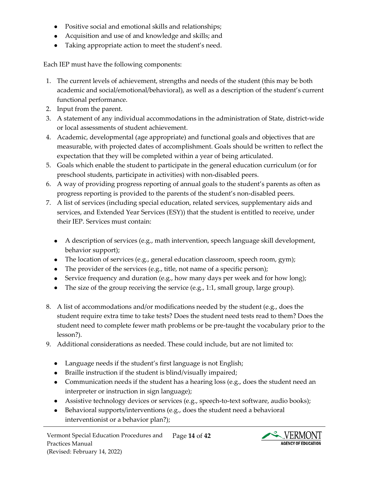- Positive social and emotional skills and relationships;
- Acquisition and use of and knowledge and skills; and
- Taking appropriate action to meet the student's need.

Each IEP must have the following components:

- 1. The current levels of achievement, strengths and needs of the student (this may be both academic and social/emotional/behavioral), as well as a description of the student's current functional performance.
- 2. Input from the parent.
- 3. A statement of any individual accommodations in the administration of State, district-wide or local assessments of student achievement.
- 4. Academic, developmental (age appropriate) and functional goals and objectives that are measurable, with projected dates of accomplishment. Goals should be written to reflect the expectation that they will be completed within a year of being articulated.
- 5. Goals which enable the student to participate in the general education curriculum (or for preschool students, participate in activities) with non-disabled peers.
- 6. A way of providing progress reporting of annual goals to the student's parents as often as progress reporting is provided to the parents of the student's non-disabled peers.
- 7. A list of services (including special education, related services, supplementary aids and services, and Extended Year Services (ESY)) that the student is entitled to receive, under their IEP. Services must contain:
	- A description of services (e.g., math intervention, speech language skill development, behavior support);
	- The location of services (e.g., general education classroom, speech room, gym);
	- The provider of the services (e.g., title, not name of a specific person);
	- Service frequency and duration (e.g., how many days per week and for how long);
	- The size of the group receiving the service (e.g., 1:1, small group, large group).
- 8. A list of accommodations and/or modifications needed by the student (e.g., does the student require extra time to take tests? Does the student need tests read to them? Does the student need to complete fewer math problems or be pre-taught the vocabulary prior to the lesson?).
- 9. Additional considerations as needed. These could include, but are not limited to:
	- Language needs if the student's first language is not English;
	- Braille instruction if the student is blind/visually impaired;
	- Communication needs if the student has a hearing loss (e.g., does the student need an interpreter or instruction in sign language);
	- Assistive technology devices or services (e.g., speech-to-text software, audio books);
	- Behavioral supports/interventions (e.g., does the student need a behavioral interventionist or a behavior plan?);

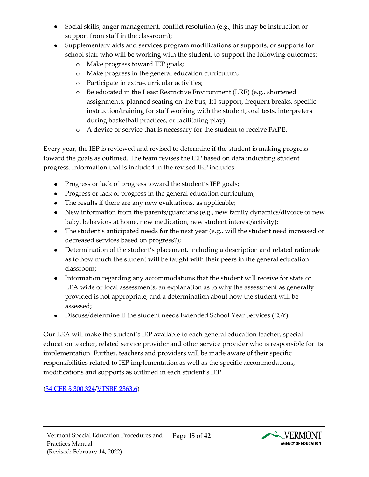- Social skills, anger management, conflict resolution (e.g., this may be instruction or support from staff in the classroom);
- Supplementary aids and services program modifications or supports, or supports for school staff who will be working with the student, to support the following outcomes:
	- o Make progress toward IEP goals;
	- o Make progress in the general education curriculum;
	- o Participate in extra-curricular activities;
	- o Be educated in the Least Restrictive Environment (LRE) (e.g., shortened assignments, planned seating on the bus, 1:1 support, frequent breaks, specific instruction/training for staff working with the student, oral tests, interpreters during basketball practices, or facilitating play);
	- o A device or service that is necessary for the student to receive FAPE.

Every year, the IEP is reviewed and revised to determine if the student is making progress toward the goals as outlined. The team revises the IEP based on data indicating student progress. Information that is included in the revised IEP includes:

- Progress or lack of progress toward the student's IEP goals;
- Progress or lack of progress in the general education curriculum;
- The results if there are any new evaluations, as applicable;
- New information from the parents/guardians (e.g., new family dynamics/divorce or new baby, behaviors at home, new medication, new student interest/activity);
- The student's anticipated needs for the next year (e.g., will the student need increased or decreased services based on progress?);
- Determination of the student's placement, including a description and related rationale as to how much the student will be taught with their peers in the general education classroom;
- Information regarding any accommodations that the student will receive for state or LEA wide or local assessments, an explanation as to why the assessment as generally provided is not appropriate, and a determination about how the student will be assessed;
- Discuss/determine if the student needs Extended School Year Services (ESY).

Our LEA will make the student's IEP available to each general education teacher, special education teacher, related service provider and other service provider who is responsible for its implementation. Further, teachers and providers will be made aware of their specific responsibilities related to IEP implementation as well as the specific accommodations, modifications and supports as outlined in each student's IEP.

## [\(34 CFR § 300.324/](https://sites.ed.gov/idea/regs/b/d/300.324)[VTSBE 2363.6\)](https://education.vermont.gov/sites/aoe/files/documents/edu-series-2360-special-education-rules.pdf#page=95)

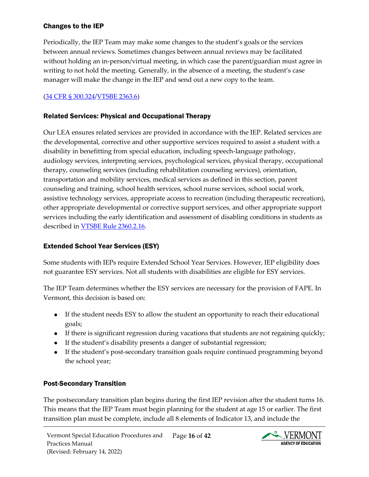#### <span id="page-15-0"></span>Changes to the IEP

Periodically, the IEP Team may make some changes to the student's goals or the services between annual reviews. Sometimes changes between annual reviews may be facilitated without holding an in-person/virtual meeting, in which case the parent/guardian must agree in writing to not hold the meeting. Generally, in the absence of a meeting, the student's case manager will make the change in the IEP and send out a new copy to the team.

## [\(34 CFR § 300.324/](https://sites.ed.gov/idea/regs/b/d/300.324)[VTSBE 2363.6\)](https://education.vermont.gov/sites/aoe/files/documents/edu-series-2360-special-education-rules.pdf#page=95)

#### <span id="page-15-1"></span>Related Services: Physical and Occupational Therapy

Our LEA ensures related services are provided in accordance with the IEP. Related services are the developmental, corrective and other supportive services required to assist a student with a disability in benefitting from special education, including speech-language pathology, audiology services, interpreting services, psychological services, physical therapy, occupational therapy, counseling services (including rehabilitation counseling services), orientation, transportation and mobility services, medical services as defined in this section, parent counseling and training, school health services, school nurse services, school social work, assistive technology services, appropriate access to recreation (including therapeutic recreation), other appropriate developmental or corrective support services, and other appropriate support services including the early identification and assessment of disabling conditions in students as described in [VTSBE Rule 2360.2.16.](https://education.vermont.gov/sites/aoe/files/documents/edu-series-2360-special-education-rules.pdf#page=21)

## <span id="page-15-2"></span>Extended School Year Services (ESY)

Some students with IEPs require Extended School Year Services. However, IEP eligibility does not guarantee ESY services. Not all students with disabilities are eligible for ESY services.

The IEP Team determines whether the ESY services are necessary for the provision of FAPE. In Vermont, this decision is based on:

- If the student needs ESY to allow the student an opportunity to reach their educational goals;
- If there is significant regression during vacations that students are not regaining quickly;
- If the student's disability presents a danger of substantial regression;
- If the student's post-secondary transition goals require continued programming beyond the school year;

#### <span id="page-15-3"></span>Post-Secondary Transition

The postsecondary transition plan begins during the first IEP revision after the student turns 16. This means that the IEP Team must begin planning for the student at age 15 or earlier. The first transition plan must be complete, include all 8 elements of Indicator 13, and include the

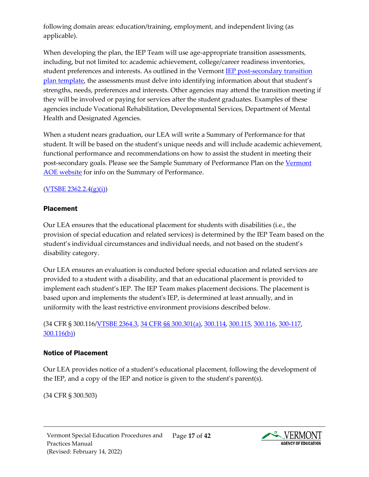following domain areas: education/training, employment, and independent living (as applicable).

When developing the plan, the IEP Team will use age-appropriate transition assessments, including, but not limited to: academic achievement, college/career readiness inventories, student preferences and interests. As outlined in the Vermont [IEP post-secondary transition](https://education.vermont.gov/documents/edu-individualized-education-program-post-secondary-transition-plan-template)  [plan template,](https://education.vermont.gov/documents/edu-individualized-education-program-post-secondary-transition-plan-template) the assessments must delve into identifying information about that student's strengths, needs, preferences and interests. Other agencies may attend the transition meeting if they will be involved or paying for services after the student graduates. Examples of these agencies include Vocational Rehabilitation, Developmental Services, Department of Mental Health and Designated Agencies.

When a student nears graduation, our LEA will write a Summary of Performance for that student. It will be based on the student's unique needs and will include academic achievement, functional performance and recommendations on how to assist the student in meeting their post-secondary goals. Please see the Sample Summary of Performance Plan on th[e Vermont](https://education.vermont.gov/documents/sample-summary-of-performance-exit-report) [AOE website](https://education.vermont.gov/documents/sample-summary-of-performance-exit-report) for info on the Summary of Performance.

#### $(YTSBE 2362.2.4(g)(i))$

#### <span id="page-16-0"></span>Placement

Our LEA ensures that the educational placement for students with disabilities (i.e., the provision of special education and related services) is determined by the IEP Team based on the student's individual circumstances and individual needs, and not based on the student's disability category.

Our LEA ensures an evaluation is conducted before special education and related services are provided to a student with a disability, and that an educational placement is provided to implement each student's IEP. The IEP Team makes placement decisions. The placement is based upon and implements the student's IEP, is determined at least annually, and in uniformity with the least restrictive environment provisions described below.

(34 CFR § 300.116[/VTSBE 2364.3,](https://education.vermont.gov/sites/aoe/files/documents/edu-series-2360-special-education-rules.pdf#page=105) [34 CFR §§ 300.301\(a\),](https://sites.ed.gov/idea/regs/b/d/300.301/a) [300.114,](https://sites.ed.gov/idea/regs/b/b/300.114) [300.115,](https://sites.ed.gov/idea/regs/b/b/300.115) [300.116,](https://sites.ed.gov/idea/regs/b/b/300.116) [300-117,](https://sites.ed.gov/idea/regs/b/b/300.117) [300.116\(b\)\)](https://sites.ed.gov/idea/regs/b/b/300.116/b)

## <span id="page-16-1"></span>Notice of Placement

Our LEA provides notice of a student's educational placement, following the development of the IEP, and a copy of the IEP and notice is given to the student's parent(s).

(34 CFR § 300.503)

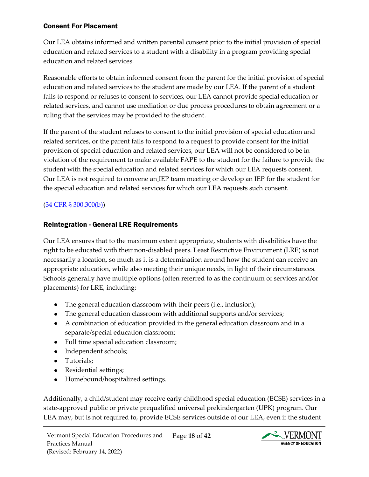#### <span id="page-17-0"></span>Consent For Placement

Our LEA obtains informed and written parental consent prior to the initial provision of special education and related services to a student with a disability in a program providing special education and related services.

Reasonable efforts to obtain informed consent from the parent for the initial provision of special education and related services to the student are made by our LEA. If the parent of a student fails to respond or refuses to consent to services, our LEA cannot provide special education or related services, and cannot use mediation or due process procedures to obtain agreement or a ruling that the services may be provided to the student.

If the parent of the student refuses to consent to the initial provision of special education and related services, or the parent fails to respond to a request to provide consent for the initial provision of special education and related services, our LEA will not be considered to be in violation of the requirement to make available FAPE to the student for the failure to provide the student with the special education and related services for which our LEA requests consent. Our LEA is not required to convene an IEP team meeting or develop an IEP for the student for the special education and related services for which our LEA requests such consent.

#### [\(34 CFR § 300.300\(b\)\)](https://sites.ed.gov/idea/regs/b/d/300.300/b)

#### <span id="page-17-1"></span>Reintegration - General LRE Requirements

Our LEA ensures that to the maximum extent appropriate, students with disabilities have the right to be educated with their non-disabled peers. Least Restrictive Environment (LRE) is not necessarily a location, so much as it is a determination around how the student can receive an appropriate education, while also meeting their unique needs, in light of their circumstances. Schools generally have multiple options (often referred to as the continuum of services and/or placements) for LRE, including:

- The general education classroom with their peers (i.e., inclusion);
- The general education classroom with additional supports and/or services;
- A combination of education provided in the general education classroom and in a separate/special education classroom;
- Full time special education classroom;
- Independent schools;
- Tutorials;
- Residential settings;
- Homebound/hospitalized settings.

Additionally, a child/student may receive early childhood special education (ECSE) services in a state-approved public or private prequalified universal prekindergarten (UPK) program. Our LEA may, but is not required to, provide ECSE services outside of our LEA, even if the student

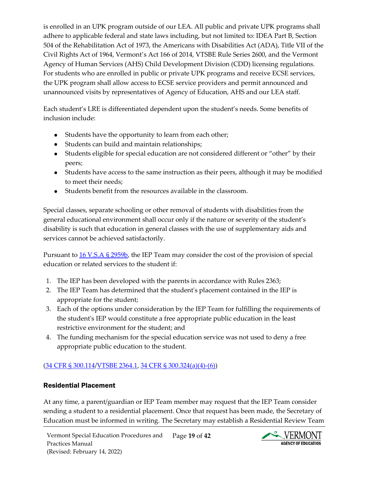is enrolled in an UPK program outside of our LEA. All public and private UPK programs shall adhere to applicable federal and state laws including, but not limited to: IDEA Part B, Section 504 of the Rehabilitation Act of 1973, the Americans with Disabilities Act (ADA), Title VII of the Civil Rights Act of 1964, Vermont's Act 166 of 2014, VTSBE Rule Series 2600, and the Vermont Agency of Human Services (AHS) Child Development Division (CDD) licensing regulations. For students who are enrolled in public or private UPK programs and receive ECSE services, the UPK program shall allow access to ECSE service providers and permit announced and unannounced visits by representatives of Agency of Education, AHS and our LEA staff.

Each student's LRE is differentiated dependent upon the student's needs. Some benefits of inclusion include:

- Students have the opportunity to learn from each other;
- Students can build and maintain relationships;
- Students eligible for special education are not considered different or "other" by their peers;
- Students have access to the same instruction as their peers, although it may be modified to meet their needs;
- Students benefit from the resources available in the classroom.

Special classes, separate schooling or other removal of students with disabilities from the general educational environment shall occur only if the nature or severity of the student's disability is such that education in general classes with the use of supplementary aids and services cannot be achieved satisfactorily.

Pursuant to [16 V.S.A § 2959b,](https://legislature.vermont.gov/statutes/section/16/101/02959) the IEP Team may consider the cost of the provision of special education or related services to the student if:

- 1. The IEP has been developed with the parents in accordance with Rules 2363;
- 2. The IEP Team has determined that the student's placement contained in the IEP is appropriate for the student;
- 3. Each of the options under consideration by the IEP Team for fulfilling the requirements of the student's IEP would constitute a free appropriate public education in the least restrictive environment for the student; and
- 4. The funding mechanism for the special education service was not used to deny a free appropriate public education to the student.

## [\(34 CFR § 300.114/](https://sites.ed.gov/idea/regs/b/b/300.114)[VTSBE 2364.1,](https://education.vermont.gov/sites/aoe/files/documents/edu-series-2360-special-education-rules.pdf#page=104) [34 CFR § 300.324\(a\)\(4\)-\(6\)\)](https://sites.ed.gov/idea/regs/b/d/300.324)

## <span id="page-18-0"></span>Residential Placement

At any time, a parent/guardian or IEP Team member may request that the IEP Team consider sending a student to a residential placement. Once that request has been made, the Secretary of Education must be informed in writing. The Secretary may establish a Residential Review Team

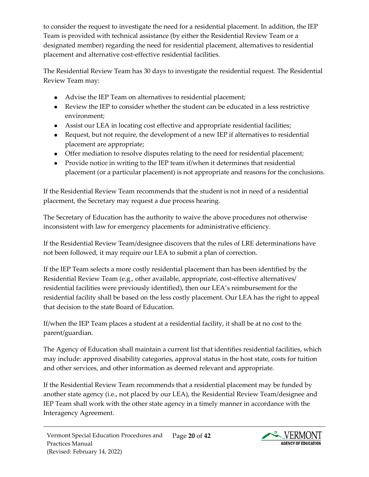to consider the request to investigate the need for a residential placement. In addition, the IEP Team is provided with technical assistance (by either the Residential Review Team or a designated member) regarding the need for residential placement, alternatives to residential placement and alternative cost-effective residential facilities.

The Residential Review Team has 30 days to investigate the residential request. The Residential Review Team may:

- Advise the IEP Team on alternatives to residential placement;
- Review the IEP to consider whether the student can be educated in a less restrictive environment;
- Assist our LEA in locating cost effective and appropriate residential facilities;
- Request, but not require, the development of a new IEP if alternatives to residential placement are appropriate;
- Offer mediation to resolve disputes relating to the need for residential placement;
- Provide notice in writing to the IEP team if/when it determines that residential placement (or a particular placement) is not appropriate and reasons for the conclusions.

If the Residential Review Team recommends that the student is not in need of a residential placement, the Secretary may request a due process hearing.

The Secretary of Education has the authority to waive the above procedures not otherwise inconsistent with law for emergency placements for administrative efficiency.

If the Residential Review Team/designee discovers that the rules of LRE determinations have not been followed, it may require our LEA to submit a plan of correction.

If the IEP Team selects a more costly residential placement than has been identified by the Residential Review Team (e.g., other available, appropriate, cost-effective alternatives/ residential facilities were previously identified), then our LEA's reimbursement for the residential facility shall be based on the less costly placement. Our LEA has the right to appeal that decision to the state Board of Education.

If/when the IEP Team places a student at a residential facility, it shall be at no cost to the parent/guardian.

The Agency of Education shall maintain a current list that identifies residential facilities, which may include: approved disability categories, approval status in the host state, costs for tuition and other services, and other information as deemed relevant and appropriate.

If the Residential Review Team recommends that a residential placement may be funded by another state agency (i.e., not placed by our LEA), the Residential Review Team/designee and IEP Team shall work with the other state agency in a timely manner in accordance with the Interagency Agreement.

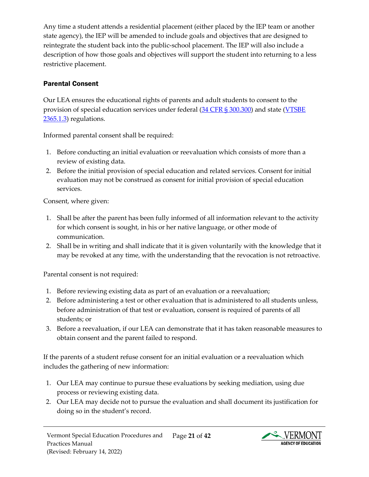Any time a student attends a residential placement (either placed by the IEP team or another state agency), the IEP will be amended to include goals and objectives that are designed to reintegrate the student back into the public-school placement. The IEP will also include a description of how those goals and objectives will support the student into returning to a less restrictive placement.

# <span id="page-20-0"></span>Parental Consent

Our LEA ensures the educational rights of parents and adult students to consent to the provision of special education services under federal [\(34 CFR § 300.300\)](https://sites.ed.gov/idea/regs/b/d/300.300) and state [\(](https://education.vermont.gov/sites/aoe/files/documents/edu-series-2360-special-education-rules.pdf#%5B%7B%22num%22%3A227%2C%22gen%22%3A0%7D%2C%7B%22name%22%3A%22Fit%22%7D%5D)[VTSBE](https://education.vermont.gov/sites/aoe/files/documents/edu-series-2360-special-education-rules.pdf#page=110) [2365.1.3\)](https://education.vermont.gov/sites/aoe/files/documents/edu-series-2360-special-education-rules.pdf#page=110) regulations.

Informed parental consent shall be required:

- 1. Before conducting an initial evaluation or reevaluation which consists of more than a review of existing data.
- 2. Before the initial provision of special education and related services. Consent for initial evaluation may not be construed as consent for initial provision of special education services.

Consent, where given:

- 1. Shall be after the parent has been fully informed of all information relevant to the activity for which consent is sought, in his or her native language, or other mode of communication.
- 2. Shall be in writing and shall indicate that it is given voluntarily with the knowledge that it may be revoked at any time, with the understanding that the revocation is not retroactive.

Parental consent is not required:

- 1. Before reviewing existing data as part of an evaluation or a reevaluation;
- 2. Before administering a test or other evaluation that is administered to all students unless, before administration of that test or evaluation, consent is required of parents of all students; or
- 3. Before a reevaluation, if our LEA can demonstrate that it has taken reasonable measures to obtain consent and the parent failed to respond.

If the parents of a student refuse consent for an initial evaluation or a reevaluation which includes the gathering of new information:

- 1. Our LEA may continue to pursue these evaluations by seeking mediation, using due process or reviewing existing data.
- 2. Our LEA may decide not to pursue the evaluation and shall document its justification for doing so in the student's record.

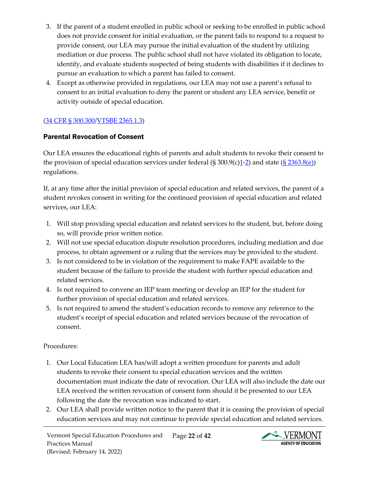- 3. If the parent of a student enrolled in public school or seeking to be enrolled in public school does not provide consent for initial evaluation, or the parent fails to respond to a request to provide consent, our LEA may pursue the initial evaluation of the student by utilizing mediation or due process. The public school shall not have violated its obligation to locate, identify, and evaluate students suspected of being students with disabilities if it declines to pursue an evaluation to which a parent has failed to consent.
- 4. Except as otherwise provided in regulations, our LEA may not use a parent's refusal to consent to an initial evaluation to deny the parent or student any LEA service, benefit or activity outside of special education.

## [\(34 CFR § 300.300/](https://sites.ed.gov/idea/regs/b/d/300.300/b)[VTSBE 2365.1.3\)](https://education.vermont.gov/sites/aoe/files/documents/edu-series-2360-special-education-rules.pdf#page=110)

#### <span id="page-21-0"></span>Parental Revocation of Consent

Our LEA ensures the educational rights of parents and adult students to revoke their consent to the provision of special education services under federal  $(\S 300.9(c)1-2)$  $(\S 300.9(c)1-2)$  $(\S 300.9(c)1-2)$  and state  $(\S 2363.8(e))$ regulations.

If, at any time after the initial provision of special education and related services, the parent of a student revokes consent in writing for the continued provision of special education and related services, our LEA:

- 1. Will stop providing special education and related services to the student, but, before doing so, will provide prior written notice.
- 2. Will not use special education dispute resolution procedures, including mediation and due process, to obtain agreement or a ruling that the services may be provided to the student.
- 3. Is not considered to be in violation of the requirement to make FAPE available to the student because of the failure to provide the student with further special education and related services.
- 4. Is not required to convene an IEP team meeting or develop an IEP for the student for further provision of special education and related services.
- 5. Is not required to amend the student's education records to remove any reference to the student's receipt of special education and related services because of the revocation of consent.

#### Procedures:

- 1. Our Local Education LEA has/will adopt a written procedure for parents and adult students to revoke their consent to special education services and the written documentation must indicate the date of revocation. Our LEA will also include the date our LEA received the written revocation of consent form should it be presented to our LEA following the date the revocation was indicated to start.
- 2. Our LEA shall provide written notice to the parent that it is ceasing the provision of special education services and may not continue to provide special education and related services.

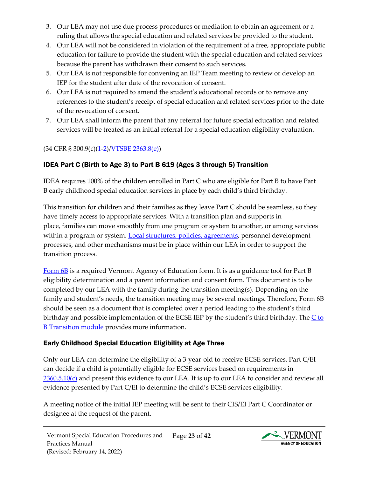- 3. Our LEA may not use due process procedures or mediation to obtain an agreement or a ruling that allows the special education and related services be provided to the student.
- 4. Our LEA will not be considered in violation of the requirement of a free, appropriate public education for failure to provide the student with the special education and related services because the parent has withdrawn their consent to such services.
- 5. Our LEA is not responsible for convening an IEP Team meeting to review or develop an IEP for the student after date of the revocation of consent.
- 6. Our LEA is not required to amend the student's educational records or to remove any references to the student's receipt of special education and related services prior to the date of the revocation of consent.
- 7. Our LEA shall inform the parent that any referral for future special education and related services will be treated as an initial referral for a special education eligibility evaluation.

# $(34 \text{ CFR } $ 300.9 \text{(c)} \frac{(1-2)}{\text{VTSBE } 2363.8 \text{(e)}})$  $(34 \text{ CFR } $ 300.9 \text{(c)} \frac{(1-2)}{\text{VTSBE } 2363.8 \text{(e)}})$  $(34 \text{ CFR } $ 300.9 \text{(c)} \frac{(1-2)}{\text{VTSBE } 2363.8 \text{(e)}})$  $(34 \text{ CFR } $ 300.9 \text{(c)} \frac{(1-2)}{\text{VTSBE } 2363.8 \text{(e)}})$

# <span id="page-22-0"></span>IDEA Part C (Birth to Age 3) to Part B 619 (Ages 3 through 5) Transition

IDEA requires 100% of the children enrolled in Part C who are eligible for Part B to have Part B early childhood special education services in place by each child's third birthday.

This transition for children and their families as they leave Part C should be seamless, so they have timely access to appropriate services. With a transition plan and supports in place, families can move smoothly from one program or system to another, or among services within a program or system. [Local structures, policies, agreements,](https://ectacenter.org/topics/transition/stateex.asp) personnel development processes, and other mechanisms must be in place within our LEA in order to support the transition process.

[Form 6B](https://education.vermont.gov/sites/aoe/files/documents/edu-form-6b-idea-part-c-to-part-b-transition.pdf) is a required Vermont Agency of Education form. It is as a guidance tool for Part B eligibility determination and a parent information and consent form. This document is to be completed by our LEA with the family during the transition meeting(s). Depending on the family and student's needs, the transition meeting may be several meetings. Therefore, Form 6B should be seen as a document that is completed over a period leading to the student's third birthday and possible implementation of the ECSE IEP by the student's third birthday. The  $C$  to **B** Transition module provides more information.

# <span id="page-22-1"></span>Early Childhood Special Education Eligibility at Age Three

Only our LEA can determine the eligibility of a 3-year-old to receive ECSE services. Part C/EI can decide if a child is potentially eligible for ECSE services based on requirements in  $2360.5.10(c)$  and present this evidence to our LEA. It is up to our LEA to consider and review all evidence presented by Part C/EI to determine the child's ECSE services eligibility.

A meeting notice of the initial IEP meeting will be sent to their CIS/EI Part C Coordinator or designee at the request of the parent.

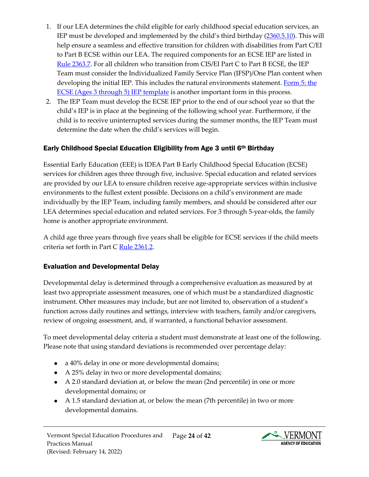- 1. If our LEA determines the child eligible for early childhood special education services, an IEP must be developed and implemented by the child's third birthday [\(2360.5.10\)](https://education.vermont.gov/sites/aoe/files/documents/edu-series-2360-special-education-rules.pdf#%5B%7B%22num%22%3A107%2C%22gen%22%3A0%7D%2C%7B%22name%22%3A%22Fit%22%7D%5D). This will help ensure a seamless and effective transition for children with disabilities from Part C/EI to Part B ECSE within our LEA. The required components for an ECSE IEP are listed in [Rule 2363.7.](https://education.vermont.gov/sites/aoe/files/documents/edu-series-2360-special-education-rules.pdf#%5B%7B%22num%22%3A201%2C%22gen%22%3A0%7D%2C%7B%22name%22%3A%22Fit%22%7D%5D) For all children who transition from CIS/EI Part C to Part B ECSE, the IEP Team must consider the Individualized Family Service Plan (IFSP)/One Plan content when developing the initial IEP. This includes the natural environments statement. Form 5: the [ECSE \(Ages 3 through 5\) IEP template](https://education.vermont.gov/documents/edu-form-5-early-childhood-special-education-ecse-ages-3-through-5-iep) is another important form in this process.
- 2. The IEP Team must develop the ECSE IEP prior to the end of our school year so that the child's IEP is in place at the beginning of the following school year. Furthermore, if the child is to receive uninterrupted services during the summer months, the IEP Team must determine the date when the child's services will begin.

## <span id="page-23-0"></span>Early Childhood Special Education Eligibility from Age 3 until 6th Birthday

Essential Early Education (EEE) is IDEA Part B Early Childhood Special Education (ECSE) services for children ages three through five, inclusive. Special education and related services are provided by our LEA to ensure children receive age-appropriate services within inclusive environments to the fullest extent possible. Decisions on a child's environment are made individually by the IEP Team, including family members, and should be considered after our LEA determines special education and related services. For 3 through 5-year-olds, the family home is another appropriate environment.

A child age three years through five years shall be eligible for ECSE services if the child meets criteria set forth in Part C [Rule 2361.2.](https://education.vermont.gov/sites/aoe/files/documents/edu-series-2360-special-education-rules.pdf#%5B%7B%22num%22%3A135%2C%22gen%22%3A0%7D%2C%7B%22name%22%3A%22Fit%22%7D%5D)

## <span id="page-23-1"></span>Evaluation and Developmental Delay

Developmental delay is determined through a comprehensive evaluation as measured by at least two appropriate assessment measures, one of which must be a standardized diagnostic instrument. Other measures may include, but are not limited to, observation of a student's function across daily routines and settings, interview with teachers, family and/or caregivers, review of ongoing assessment, and, if warranted, a functional behavior assessment.

To meet developmental delay criteria a student must demonstrate at least one of the following. Please note that using standard deviations is recommended over percentage delay:

- a 40% delay in one or more developmental domains;
- A 25% delay in two or more developmental domains;
- A 2.0 standard deviation at, or below the mean (2nd percentile) in one or more developmental domains; or
- A 1.5 standard deviation at, or below the mean (7th percentile) in two or more developmental domains.

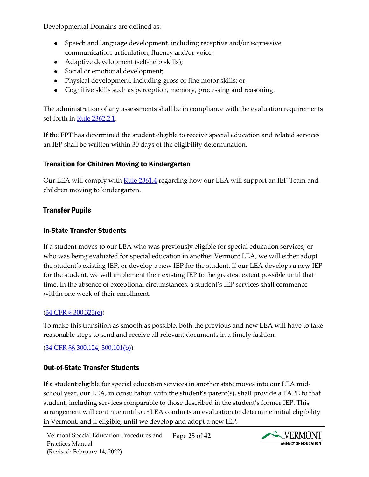Developmental Domains are defined as:

- Speech and language development, including receptive and/or expressive communication, articulation, fluency and/or voice;
- Adaptive development (self-help skills);
- Social or emotional development;
- Physical development, including gross or fine motor skills; or
- Cognitive skills such as perception, memory, processing and reasoning.

The administration of any assessments shall be in compliance with the evaluation requirements set forth in [Rule 2362.2.1.](https://education.vermont.gov/sites/aoe/files/documents/edu-series-2360-special-education-rules.pdf#%5B%7B%22num%22%3A159%2C%22gen%22%3A0%7D%2C%7B%22name%22%3A%22Fit%22%7D%5D)

If the EPT has determined the student eligible to receive special education and related services an IEP shall be written within 30 days of the eligibility determination.

#### <span id="page-24-0"></span>Transition for Children Moving to Kindergarten

Our LEA will comply with [Rule 2361.4](https://education.vermont.gov/sites/aoe/files/documents/edu-series-2360-special-education-rules.pdf#%5B%7B%22num%22%3A139%2C%22gen%22%3A0%7D%2C%7B%22name%22%3A%22Fit%22%7D%5D) regarding how our LEA will support an IEP Team and children moving to kindergarten.

# <span id="page-24-1"></span>Transfer Pupils

#### <span id="page-24-2"></span>In-State Transfer Students

If a student moves to our LEA who was previously eligible for special education services, or who was being evaluated for special education in another Vermont LEA, we will either adopt the student's existing IEP, or develop a new IEP for the student. If our LEA develops a new IEP for the student, we will implement their existing IEP to the greatest extent possible until that time. In the absence of exceptional circumstances, a student's IEP services shall commence within one week of their enrollment.

#### [\(34 CFR § 300.323\(e\)\)](https://sites.ed.gov/idea/regs/b/d/300.323/e)

To make this transition as smooth as possible, both the previous and new LEA will have to take reasonable steps to send and receive all relevant documents in a timely fashion.

[\(34 CFR §§ 300.124,](https://sites.ed.gov/idea/regs/b/b/300.124) [300.101\(b\)\)](https://sites.ed.gov/idea/regs/b/b/300.101/b)

## <span id="page-24-3"></span>Out-of-State Transfer Students

If a student eligible for special education services in another state moves into our LEA midschool year, our LEA, in consultation with the student's parent(s), shall provide a FAPE to that student, including services comparable to those described in the student's former IEP. This arrangement will continue until our LEA conducts an evaluation to determine initial eligibility in Vermont, and if eligible, until we develop and adopt a new IEP.

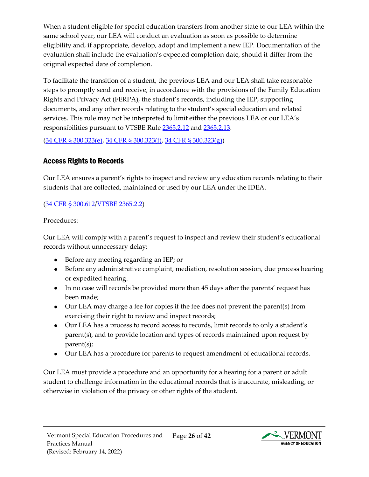When a student eligible for special education transfers from another state to our LEA within the same school year, our LEA will conduct an evaluation as soon as possible to determine eligibility and, if appropriate, develop, adopt and implement a new IEP. Documentation of the evaluation shall include the evaluation's expected completion date, should it differ from the original expected date of completion.

To facilitate the transition of a student, the previous LEA and our LEA shall take reasonable steps to promptly send and receive, in accordance with the provisions of the Family Education Rights and Privacy Act (FERPA), the student's records, including the IEP, supporting documents, and any other records relating to the student's special education and related services. This rule may not be interpreted to limit either the previous LEA or our LEA's responsibilities pursuant to VTSBE Rule [2365.2.12](https://education.vermont.gov/sites/aoe/files/documents/edu-series-2360-special-education-rules.pdf#page=140) and [2365.2.13.](https://education.vermont.gov/sites/aoe/files/documents/edu-series-2360-special-education-rules.pdf#page=140)

[\(34 CFR § 300.323\(e\),](https://sites.ed.gov/idea/regs/b/d/300.323/e) [34 CFR § 300.323\(f\),](https://sites.ed.gov/idea/regs/b/d/300.323/f) [34 CFR § 300.323\(g\)\)](https://sites.ed.gov/idea/regs/b/d/300.323/g)

# <span id="page-25-0"></span>Access Rights to Records

Our LEA ensures a parent's rights to inspect and review any education records relating to their students that are collected, maintained or used by our LEA under the IDEA.

# [\(34 CFR § 300.612/](https://sites.ed.gov/idea/regs/b/f/300.612)[VTSBE 2365.2.2\)](https://education.vermont.gov/sites/aoe/files/documents/edu-series-2360-special-education-rules.pdf#page=136)

Procedures:

Our LEA will comply with a parent's request to inspect and review their student's educational records without unnecessary delay:

- Before any meeting regarding an IEP; or
- Before any administrative complaint, mediation, resolution session, due process hearing or expedited hearing.
- In no case will records be provided more than 45 days after the parents' request has been made;
- Our LEA may charge a fee for copies if the fee does not prevent the parent(s) from exercising their right to review and inspect records;
- Our LEA has a process to record access to records, limit records to only a student's parent(s), and to provide location and types of records maintained upon request by parent(s);
- Our LEA has a procedure for parents to request amendment of educational records.

Our LEA must provide a procedure and an opportunity for a hearing for a parent or adult student to challenge information in the educational records that is inaccurate, misleading, or otherwise in violation of the privacy or other rights of the student.

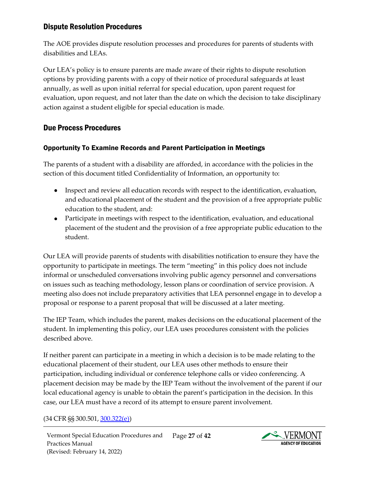## <span id="page-26-0"></span>Dispute Resolution Procedures

The AOE provides dispute resolution processes and procedures for parents of students with disabilities and LEAs.

Our LEA's policy is to ensure parents are made aware of their rights to dispute resolution options by providing parents with a copy of their notice of procedural safeguards at least annually, as well as upon initial referral for special education, upon parent request for evaluation, upon request, and not later than the date on which the decision to take disciplinary action against a student eligible for special education is made.

# <span id="page-26-1"></span>Due Process Procedures

#### <span id="page-26-2"></span>Opportunity To Examine Records and Parent Participation in Meetings

The parents of a student with a disability are afforded, in accordance with the policies in the section of this document titled Confidentiality of Information, an opportunity to:

- Inspect and review all education records with respect to the identification, evaluation, and educational placement of the student and the provision of a free appropriate public education to the student, and:
- Participate in meetings with respect to the identification, evaluation, and educational placement of the student and the provision of a free appropriate public education to the student.

Our LEA will provide parents of students with disabilities notification to ensure they have the opportunity to participate in meetings. The term "meeting" in this policy does not include informal or unscheduled conversations involving public agency personnel and conversations on issues such as teaching methodology, lesson plans or coordination of service provision. A meeting also does not include preparatory activities that LEA personnel engage in to develop a proposal or response to a parent proposal that will be discussed at a later meeting.

The IEP Team, which includes the parent, makes decisions on the educational placement of the student. In implementing this policy, our LEA uses procedures consistent with the policies described above.

If neither parent can participate in a meeting in which a decision is to be made relating to the educational placement of their student, our LEA uses other methods to ensure their participation, including individual or conference telephone calls or video conferencing. A placement decision may be made by the IEP Team without the involvement of the parent if our local educational agency is unable to obtain the parent's participation in the decision. In this case, our LEA must have a record of its attempt to ensure parent involvement.

#### (34 CFR §§ 300.501, [300.322\(e\)\)](https://sites.ed.gov/idea/regs/b/d/300.322/e)

Vermont Special Education Procedures and Practices Manual (Revised: February 14, 2022) Page **27** of **42**

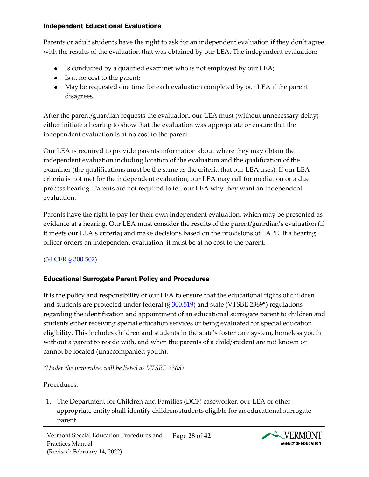#### <span id="page-27-0"></span>Independent Educational Evaluations

Parents or adult students have the right to ask for an independent evaluation if they don't agree with the results of the evaluation that was obtained by our LEA. The independent evaluation:

- Is conducted by a qualified examiner who is not employed by our LEA;
- Is at no cost to the parent;
- May be requested one time for each evaluation completed by our LEA if the parent disagrees.

After the parent/guardian requests the evaluation, our LEA must (without unnecessary delay) either initiate a hearing to show that the evaluation was appropriate or ensure that the independent evaluation is at no cost to the parent.

Our LEA is required to provide parents information about where they may obtain the independent evaluation including location of the evaluation and the qualification of the examiner (the qualifications must be the same as the criteria that our LEA uses). If our LEA criteria is not met for the independent evaluation, our LEA may call for mediation or a due process hearing. Parents are not required to tell our LEA why they want an independent evaluation.

Parents have the right to pay for their own independent evaluation, which may be presented as evidence at a hearing. Our LEA must consider the results of the parent/guardian's evaluation (if it meets our LEA's criteria) and make decisions based on the provisions of FAPE. If a hearing officer orders an independent evaluation, it must be at no cost to the parent.

## [\(34 CFR § 300.502\)](https://sites.ed.gov/idea/regs/b/e/300.502)

## <span id="page-27-1"></span>Educational Surrogate Parent Policy and Procedures

It is the policy and responsibility of our LEA to ensure that the educational rights of children and students are protected under federal  $(S\,300.519)$  and state (VTSBE 2369\*) regulations regarding the identification and appointment of an educational surrogate parent to children and students either receiving special education services or being evaluated for special education eligibility. This includes children and students in the state's foster care system, homeless youth without a parent to reside with, and when the parents of a child/student are not known or cannot be located (unaccompanied youth).

*\*Under the new rules, will be listed as VTSBE 2368)*

## Procedures:

1. The Department for Children and Families (DCF) caseworker, our LEA or other appropriate entity shall identify children/students eligible for an educational surrogate parent.

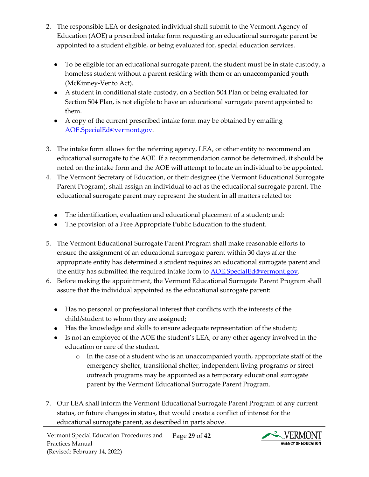- 2. The responsible LEA or designated individual shall submit to the Vermont Agency of Education (AOE) a prescribed intake form requesting an educational surrogate parent be appointed to a student eligible, or being evaluated for, special education services.
	- To be eligible for an educational surrogate parent, the student must be in state custody, a homeless student without a parent residing with them or an unaccompanied youth (McKinney-Vento Act).
	- A student in conditional state custody, on a Section 504 Plan or being evaluated for Section 504 Plan, is not eligible to have an educational surrogate parent appointed to them.
	- A copy of the current prescribed intake form may be obtained by emailing [AOE.SpecialEd@vermont.gov.](mailto:AOE.SpecialEd@vermont.gov)
- 3. The intake form allows for the referring agency, LEA, or other entity to recommend an educational surrogate to the AOE. If a recommendation cannot be determined, it should be noted on the intake form and the AOE will attempt to locate an individual to be appointed.
- 4. The Vermont Secretary of Education, or their designee (the Vermont Educational Surrogate Parent Program), shall assign an individual to act as the educational surrogate parent. The educational surrogate parent may represent the student in all matters related to:
	- The identification, evaluation and educational placement of a student; and:
	- The provision of a Free Appropriate Public Education to the student.
- 5. The Vermont Educational Surrogate Parent Program shall make reasonable efforts to ensure the assignment of an educational surrogate parent within 30 days after the appropriate entity has determined a student requires an educational surrogate parent and the entity has submitted the required intake form to **AOE.SpecialEd@vermont.gov**.
- 6. Before making the appointment, the Vermont Educational Surrogate Parent Program shall assure that the individual appointed as the educational surrogate parent:
	- Has no personal or professional interest that conflicts with the interests of the child/student to whom they are assigned;
	- Has the knowledge and skills to ensure adequate representation of the student;
	- Is not an employee of the AOE the student's LEA, or any other agency involved in the education or care of the student.
		- o In the case of a student who is an unaccompanied youth, appropriate staff of the emergency shelter, transitional shelter, independent living programs or street outreach programs may be appointed as a temporary educational surrogate parent by the Vermont Educational Surrogate Parent Program.
- 7. Our LEA shall inform the Vermont Educational Surrogate Parent Program of any current status, or future changes in status, that would create a conflict of interest for the educational surrogate parent, as described in parts above.

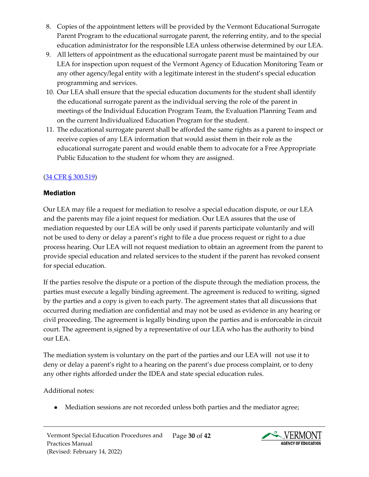- 8. Copies of the appointment letters will be provided by the Vermont Educational Surrogate Parent Program to the educational surrogate parent, the referring entity, and to the special education administrator for the responsible LEA unless otherwise determined by our LEA.
- 9. All letters of appointment as the educational surrogate parent must be maintained by our LEA for inspection upon request of the Vermont Agency of Education Monitoring Team or any other agency/legal entity with a legitimate interest in the student's special education programming and services.
- 10. Our LEA shall ensure that the special education documents for the student shall identify the educational surrogate parent as the individual serving the role of the parent in meetings of the Individual Education Program Team, the Evaluation Planning Team and on the current Individualized Education Program for the student.
- 11. The educational surrogate parent shall be afforded the same rights as a parent to inspect or receive copies of any LEA information that would assist them in their role as the educational surrogate parent and would enable them to advocate for a Free Appropriate Public Education to the student for whom they are assigned.

## [\(34 CFR § 300.519\)](https://sites.ed.gov/idea/regs/b/e/300.519)

#### <span id="page-29-0"></span>Mediation

Our LEA may file a request for mediation to resolve a special education dispute, or our LEA and the parents may file a joint request for mediation. Our LEA assures that the use of mediation requested by our LEA will be only used if parents participate voluntarily and will not be used to deny or delay a parent's right to file a due process request or right to a due process hearing. Our LEA will not request mediation to obtain an agreement from the parent to provide special education and related services to the student if the parent has revoked consent for special education.

If the parties resolve the dispute or a portion of the dispute through the mediation process, the parties must execute a legally binding agreement. The agreement is reduced to writing, signed by the parties and a copy is given to each party. The agreement states that all discussions that occurred during mediation are confidential and may not be used as evidence in any hearing or civil proceeding. The agreement is legally binding upon the parties and is enforceable in circuit court. The agreement is signed by a representative of our LEA who has the authority to bind our LEA.

The mediation system is voluntary on the part of the parties and our LEA will not use it to deny or delay a parent's right to a hearing on the parent's due process complaint, or to deny any other rights afforded under the IDEA and state special education rules.

Additional notes:

Mediation sessions are not recorded unless both parties and the mediator agree;

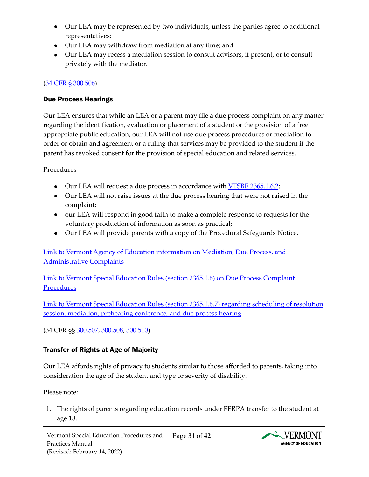- Our LEA may be represented by two individuals, unless the parties agree to additional representatives;
- Our LEA may withdraw from mediation at any time; and
- Our LEA may recess a mediation session to consult advisors, if present, or to consult privately with the mediator.

#### [\(34 CFR § 300.506\)](https://sites.ed.gov/idea/regs/b/e/300.506)

#### <span id="page-30-0"></span>Due Process Hearings

Our LEA ensures that while an LEA or a parent may file a due process complaint on any matter regarding the identification, evaluation or placement of a student or the provision of a free appropriate public education, our LEA will not use due process procedures or mediation to order or obtain and agreement or a ruling that services may be provided to the student if the parent has revoked consent for the provision of special education and related services.

Procedures

- Our LEA will request a due process in accordance with **VTSBE 2365.1.6.2**;
- Our LEA will not raise issues at the due process hearing that were not raised in the complaint;
- our LEA will respond in good faith to make a complete response to requests for the voluntary production of information as soon as practical;
- Our LEA will provide parents with a copy of the Procedural Safeguards Notice.

[Link to Vermont Agency of Education information on Mediation, Due Process, and](https://education.vermont.gov/student-support/vermont-special-education/resources-for-families/dispute-resolution#due-process)  [Administrative Complaints](https://education.vermont.gov/student-support/vermont-special-education/resources-for-families/dispute-resolution#due-process)

[Link to Vermont Special Education Rules \(section 2365.1.6\) on Due Process Complaint](https://education.vermont.gov/sites/aoe/files/documents/edu-series-2360-special-education-rules.pdf#%5B%7B%22num%22%3A239%2C%22gen%22%3A0%7D%2C%7B%22name%22%3A%22Fit%22%7D%5D)  **[Procedures](https://education.vermont.gov/sites/aoe/files/documents/edu-series-2360-special-education-rules.pdf#%5B%7B%22num%22%3A239%2C%22gen%22%3A0%7D%2C%7B%22name%22%3A%22Fit%22%7D%5D)** 

[Link to Vermont Special Education Rules \(section 2365.1.6.7\) regarding scheduling of resolution](https://education.vermont.gov/sites/aoe/files/documents/edu-series-2360-special-education-rules.pdf#%5B%7B%22num%22%3A247%2C%22gen%22%3A0%7D%2C%7B%22name%22%3A%22Fit%22%7D%5D)  [session, mediation, prehearing conference, and due process hearing](https://education.vermont.gov/sites/aoe/files/documents/edu-series-2360-special-education-rules.pdf#%5B%7B%22num%22%3A247%2C%22gen%22%3A0%7D%2C%7B%22name%22%3A%22Fit%22%7D%5D)

(34 CFR §§ [300.507,](https://sites.ed.gov/idea/regs/b/e/300.507) [300.508,](https://sites.ed.gov/idea/regs/b/e/300.508) [300.510\)](https://sites.ed.gov/idea/regs/b/e/300.510)

# <span id="page-30-1"></span>Transfer of Rights at Age of Majority

Our LEA affords rights of privacy to students similar to those afforded to parents, taking into consideration the age of the student and type or severity of disability.

Please note:

1. The rights of parents regarding education records under FERPA transfer to the student at age 18.

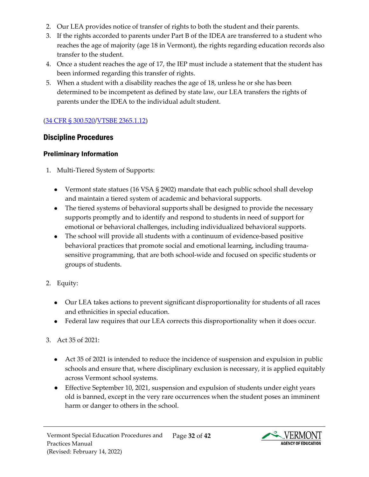- 2. Our LEA provides notice of transfer of rights to both the student and their parents.
- 3. If the rights accorded to parents under Part B of the IDEA are transferred to a student who reaches the age of majority (age 18 in Vermont), the rights regarding education records also transfer to the student.
- 4. Once a student reaches the age of 17, the IEP must include a statement that the student has been informed regarding this transfer of rights.
- 5. When a student with a disability reaches the age of 18, unless he or she has been determined to be incompetent as defined by state law, our LEA transfers the rights of parents under the IDEA to the individual adult student.

## [\(34 CFR § 300.520/](https://sites.ed.gov/idea/regs/b/e/300.520)[VTSBE 2365.1.12\)](https://education.vermont.gov/sites/aoe/files/documents/edu-series-2360-special-education-rules.pdf#page=134)

## <span id="page-31-0"></span>Discipline Procedures

## <span id="page-31-1"></span>Preliminary Information

- 1. Multi-Tiered System of Supports:
	- Vermont state statues (16 VSA § 2902) mandate that each public school shall develop and maintain a tiered system of academic and behavioral supports.
	- The tiered systems of behavioral supports shall be designed to provide the necessary supports promptly and to identify and respond to students in need of support for emotional or behavioral challenges, including individualized behavioral supports.
	- The school will provide all students with a continuum of evidence-based positive behavioral practices that promote social and emotional learning, including traumasensitive programming, that are both school-wide and focused on specific students or groups of students.
- 2. Equity:
	- Our LEA takes actions to prevent significant disproportionality for students of all races and ethnicities in special education.
	- Federal law requires that our LEA corrects this disproportionality when it does occur.

## 3. Act 35 of 2021:

- Act 35 of 2021 is intended to reduce the incidence of suspension and expulsion in public schools and ensure that, where disciplinary exclusion is necessary, it is applied equitably across Vermont school systems.
- Effective September 10, 2021, suspension and expulsion of students under eight years old is banned, except in the very rare occurrences when the student poses an imminent harm or danger to others in the school.

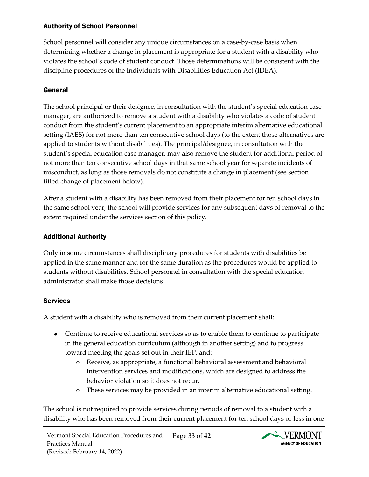#### <span id="page-32-0"></span>Authority of School Personnel

School personnel will consider any unique circumstances on a case-by-case basis when determining whether a change in placement is appropriate for a student with a disability who violates the school's code of student conduct. Those determinations will be consistent with the discipline procedures of the Individuals with Disabilities Education Act (IDEA).

# <span id="page-32-1"></span>General

The school principal or their designee, in consultation with the student's special education case manager, are authorized to remove a student with a disability who violates a code of student conduct from the student's current placement to an appropriate interim alternative educational setting (IAES) for not more than ten consecutive school days (to the extent those alternatives are applied to students without disabilities). The principal/designee, in consultation with the student's special education case manager, may also remove the student for additional period of not more than ten consecutive school days in that same school year for separate incidents of misconduct, as long as those removals do not constitute a change in placement (see section titled change of placement below).

After a student with a disability has been removed from their placement for ten school days in the same school year, the school will provide services for any subsequent days of removal to the extent required under the services section of this policy.

# <span id="page-32-2"></span>Additional Authority

Only in some circumstances shall disciplinary procedures for students with disabilities be applied in the same manner and for the same duration as the procedures would be applied to students without disabilities. School personnel in consultation with the special education administrator shall make those decisions.

## <span id="page-32-3"></span>**Services**

A student with a disability who is removed from their current placement shall:

- Continue to receive educational services so as to enable them to continue to participate in the general education curriculum (although in another setting) and to progress toward meeting the goals set out in their IEP, and:
	- o Receive, as appropriate, a functional behavioral assessment and behavioral intervention services and modifications, which are designed to address the behavior violation so it does not recur.
	- o These services may be provided in an interim alternative educational setting.

The school is not required to provide services during periods of removal to a student with a disability who has been removed from their current placement for ten school days or less in one

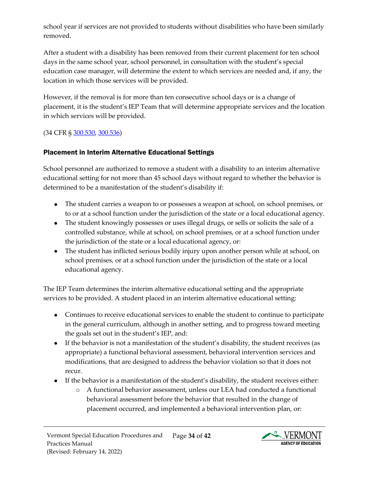school year if services are not provided to students without disabilities who have been similarly removed.

After a student with a disability has been removed from their current placement for ten school days in the same school year, school personnel, in consultation with the student's special education case manager, will determine the extent to which services are needed and, if any, the location in which those services will be provided.

However, if the removal is for more than ten consecutive school days or is a change of placement, it is the student's IEP Team that will determine appropriate services and the location in which services will be provided.

(34 CFR [§ 300.530,](https://sites.ed.gov/idea/regs/b/e/300.530) [300.536\)](https://sites.ed.gov/idea/regs/b/e/300.536)

## <span id="page-33-0"></span>Placement in Interim Alternative Educational Settings

School personnel are authorized to remove a student with a disability to an interim alternative educational setting for not more than 45 school days without regard to whether the behavior is determined to be a manifestation of the student's disability if:

- The student carries a weapon to or possesses a weapon at school, on school premises, or to or at a school function under the jurisdiction of the state or a local educational agency.
- The student knowingly possesses or uses illegal drugs, or sells or solicits the sale of a controlled substance, while at school, on school premises, or at a school function under the jurisdiction of the state or a local educational agency, or:
- The student has inflicted serious bodily injury upon another person while at school, on school premises, or at a school function under the jurisdiction of the state or a local educational agency.

The IEP Team determines the interim alternative educational setting and the appropriate services to be provided. A student placed in an interim alternative educational setting:

- Continues to receive educational services to enable the student to continue to participate in the general curriculum, although in another setting, and to progress toward meeting the goals set out in the student's IEP, and:
- If the behavior is not a manifestation of the student's disability, the student receives (as appropriate) a functional behavioral assessment, behavioral intervention services and modifications, that are designed to address the behavior violation so that it does not recur.
- If the behavior is a manifestation of the student's disability, the student receives either:
	- o A functional behavior assessment, unless our LEA had conducted a functional behavioral assessment before the behavior that resulted in the change of placement occurred, and implemented a behavioral intervention plan, or:

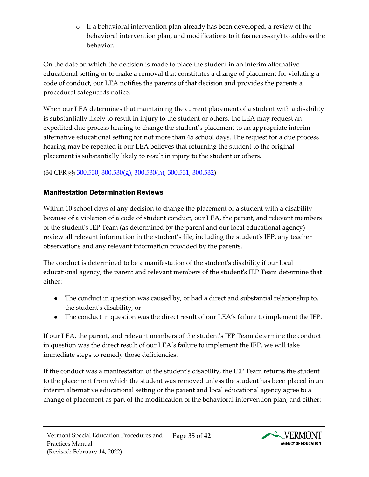o If a behavioral intervention plan already has been developed, a review of the behavioral intervention plan, and modifications to it (as necessary) to address the behavior.

On the date on which the decision is made to place the student in an interim alternative educational setting or to make a removal that constitutes a change of placement for violating a code of conduct, our LEA notifies the parents of that decision and provides the parents a procedural safeguards notice.

When our LEA determines that maintaining the current placement of a student with a disability is substantially likely to result in injury to the student or others, the LEA may request an expedited due process hearing to change the student's placement to an appropriate interim alternative educational setting for not more than 45 school days. The request for a due process hearing may be repeated if our LEA believes that returning the student to the original placement is substantially likely to result in injury to the student or others.

# (34 CFR §§ [300.530,](https://sites.ed.gov/idea/regs/b/e/300.530) [300.530\(g\),](https://sites.ed.gov/idea/regs/b/e/300.530/g) [300.530\(h\),](https://sites.ed.gov/idea/regs/b/e/300.530/h) [300.531,](https://sites.ed.gov/idea/regs/b/e/300.531) [300.532\)](https://sites.ed.gov/idea/regs/b/e/300.532)

## <span id="page-34-0"></span>Manifestation Determination Reviews

Within 10 school days of any decision to change the placement of a student with a disability because of a violation of a code of student conduct, our LEA, the parent, and relevant members of the student's IEP Team (as determined by the parent and our local educational agency) review all relevant information in the student's file, including the student's IEP, any teacher observations and any relevant information provided by the parents.

The conduct is determined to be a manifestation of the student's disability if our local educational agency, the parent and relevant members of the student's IEP Team determine that either:

- The conduct in question was caused by, or had a direct and substantial relationship to, the student's disability, or
- The conduct in question was the direct result of our LEA's failure to implement the IEP.

If our LEA, the parent, and relevant members of the student's IEP Team determine the conduct in question was the direct result of our LEA's failure to implement the IEP, we will take immediate steps to remedy those deficiencies.

If the conduct was a manifestation of the student's disability, the IEP Team returns the student to the placement from which the student was removed unless the student has been placed in an interim alternative educational setting or the parent and local educational agency agree to a change of placement as part of the modification of the behavioral intervention plan, and either:

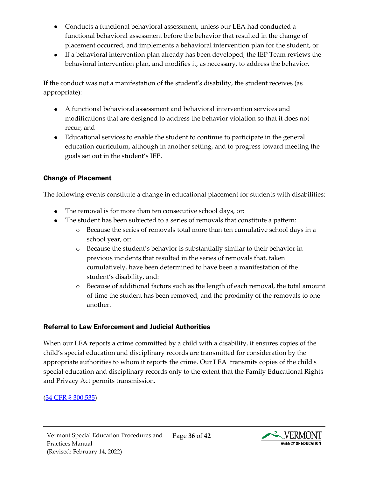- Conducts a functional behavioral assessment, unless our LEA had conducted a functional behavioral assessment before the behavior that resulted in the change of placement occurred, and implements a behavioral intervention plan for the student, or
- If a behavioral intervention plan already has been developed, the IEP Team reviews the behavioral intervention plan, and modifies it, as necessary, to address the behavior.

If the conduct was not a manifestation of the student's disability, the student receives (as appropriate):

- A functional behavioral assessment and behavioral intervention services and modifications that are designed to address the behavior violation so that it does not recur, and
- Educational services to enable the student to continue to participate in the general education curriculum, although in another setting, and to progress toward meeting the goals set out in the student's IEP.

## <span id="page-35-0"></span>Change of Placement

The following events constitute a change in educational placement for students with disabilities:

- The removal is for more than ten consecutive school days, or:
- The student has been subjected to a series of removals that constitute a pattern:
	- o Because the series of removals total more than ten cumulative school days in a school year, or:
	- o Because the student's behavior is substantially similar to their behavior in previous incidents that resulted in the series of removals that, taken cumulatively, have been determined to have been a manifestation of the student's disability, and:
	- o Because of additional factors such as the length of each removal, the total amount of time the student has been removed, and the proximity of the removals to one another.

#### <span id="page-35-1"></span>Referral to Law Enforcement and Judicial Authorities

When our LEA reports a crime committed by a child with a disability, it ensures copies of the child's special education and disciplinary records are transmitted for consideration by the appropriate authorities to whom it reports the crime. Our LEA transmits copies of the child's special education and disciplinary records only to the extent that the Family Educational Rights and Privacy Act permits transmission.

#### [\(34 CFR § 300.535\)](https://sites.ed.gov/idea/regs/b/e/300.535)

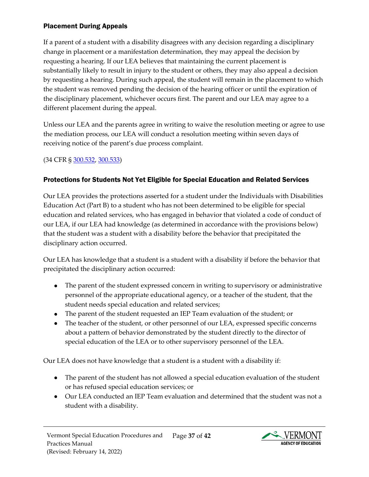#### <span id="page-36-0"></span>Placement During Appeals

If a parent of a student with a disability disagrees with any decision regarding a disciplinary change in placement or a manifestation determination, they may appeal the decision by requesting a hearing. If our LEA believes that maintaining the current placement is substantially likely to result in injury to the student or others, they may also appeal a decision by requesting a hearing. During such appeal, the student will remain in the placement to which the student was removed pending the decision of the hearing officer or until the expiration of the disciplinary placement, whichever occurs first. The parent and our LEA may agree to a different placement during the appeal.

Unless our LEA and the parents agree in writing to waive the resolution meeting or agree to use the mediation process, our LEA will conduct a resolution meeting within seven days of receiving notice of the parent's due process complaint.

## (34 CFR [§ 300.532,](https://sites.ed.gov/idea/regs/b/e/300.532) [300.533\)](https://sites.ed.gov/idea/regs/b/e/300.533)

## <span id="page-36-1"></span>Protections for Students Not Yet Eligible for Special Education and Related Services

Our LEA provides the protections asserted for a student under the Individuals with Disabilities Education Act (Part B) to a student who has not been determined to be eligible for special education and related services, who has engaged in behavior that violated a code of conduct of our LEA, if our LEA had knowledge (as determined in accordance with the provisions below) that the student was a student with a disability before the behavior that precipitated the disciplinary action occurred.

Our LEA has knowledge that a student is a student with a disability if before the behavior that precipitated the disciplinary action occurred:

- The parent of the student expressed concern in writing to supervisory or administrative personnel of the appropriate educational agency, or a teacher of the student, that the student needs special education and related services;
- The parent of the student requested an IEP Team evaluation of the student; or
- The teacher of the student, or other personnel of our LEA, expressed specific concerns about a pattern of behavior demonstrated by the student directly to the director of special education of the LEA or to other supervisory personnel of the LEA.

Our LEA does not have knowledge that a student is a student with a disability if:

- The parent of the student has not allowed a special education evaluation of the student or has refused special education services; or
- Our LEA conducted an IEP Team evaluation and determined that the student was not a student with a disability.

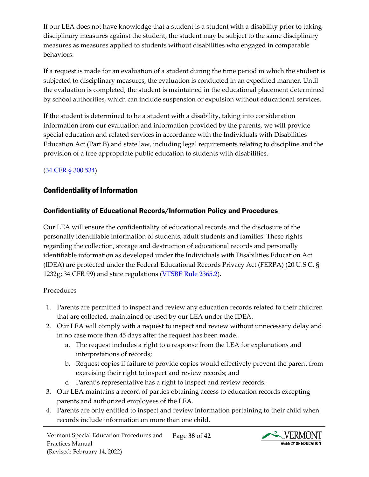If our LEA does not have knowledge that a student is a student with a disability prior to taking disciplinary measures against the student, the student may be subject to the same disciplinary measures as measures applied to students without disabilities who engaged in comparable behaviors.

If a request is made for an evaluation of a student during the time period in which the student is subjected to disciplinary measures, the evaluation is conducted in an expedited manner. Until the evaluation is completed, the student is maintained in the educational placement determined by school authorities, which can include suspension or expulsion without educational services.

If the student is determined to be a student with a disability, taking into consideration information from our evaluation and information provided by the parents, we will provide special education and related services in accordance with the Individuals with Disabilities Education Act (Part B) and state law, including legal requirements relating to discipline and the provision of a free appropriate public education to students with disabilities.

## [\(34 CFR § 300.534\)](https://sites.ed.gov/idea/regs/b/e/300.534)

# <span id="page-37-0"></span>Confidentiality of Information

## <span id="page-37-1"></span>Confidentiality of Educational Records/Information Policy and Procedures

Our LEA will ensure the confidentiality of educational records and the disclosure of the personally identifiable information of students, adult students and families. These rights regarding the collection, storage and destruction of educational records and personally identifiable information as developed under the Individuals with Disabilities Education Act (IDEA) are protected under the Federal Educational Records Privacy Act (FERPA) (20 U.S.C. § 1232g; 34 CFR 99) and state regulations [\(VTSBE Rule 2365.2\)](https://education.vermont.gov/sites/aoe/files/documents/edu-series-2360-special-education-rules.pdf#page=135).

#### Procedures

- 1. Parents are permitted to inspect and review any education records related to their children that are collected, maintained or used by our LEA under the IDEA.
- 2. Our LEA will comply with a request to inspect and review without unnecessary delay and in no case more than 45 days after the request has been made.
	- a. The request includes a right to a response from the LEA for explanations and interpretations of records;
	- b. Request copies if failure to provide copies would effectively prevent the parent from exercising their right to inspect and review records; and
	- c. Parent's representative has a right to inspect and review records.
- 3. Our LEA maintains a record of parties obtaining access to education records excepting parents and authorized employees of the LEA.
- 4. Parents are only entitled to inspect and review information pertaining to their child when records include information on more than one child.

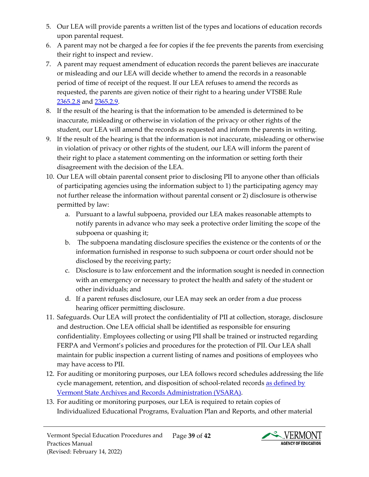- 5. Our LEA will provide parents a written list of the types and locations of education records upon parental request.
- 6. A parent may not be charged a fee for copies if the fee prevents the parents from exercising their right to inspect and review.
- 7. A parent may request amendment of education records the parent believes are inaccurate or misleading and our LEA will decide whether to amend the records in a reasonable period of time of receipt of the request. If our LEA refuses to amend the records as requested, the parents are given notice of their right to a hearing under VTSBE [Rule](https://education.vermont.gov/sites/aoe/files/documents/edu-series-2360-special-education-rules.pdf#page=138)  [2365.2.8](https://education.vermont.gov/sites/aoe/files/documents/edu-series-2360-special-education-rules.pdf#page=138) and [2365.2.9.](https://education.vermont.gov/sites/aoe/files/documents/edu-series-2360-special-education-rules.pdf#page=138)
- 8. If the result of the hearing is that the information to be amended is determined to be inaccurate, misleading or otherwise in violation of the privacy or other rights of the student, our LEA will amend the records as requested and inform the parents in writing.
- 9. If the result of the hearing is that the information is not inaccurate, misleading or otherwise in violation of privacy or other rights of the student, our LEA will inform the parent of their right to place a statement commenting on the information or setting forth their disagreement with the decision of the LEA.
- 10. Our LEA will obtain parental consent prior to disclosing PII to anyone other than officials of participating agencies using the information subject to 1) the participating agency may not further release the information without parental consent or 2) disclosure is otherwise permitted by law:
	- a. Pursuant to a lawful subpoena, provided our LEA makes reasonable attempts to notify parents in advance who may seek a protective order limiting the scope of the subpoena or quashing it;
	- b. The subpoena mandating disclosure specifies the existence or the contents of or the information furnished in response to such subpoena or court order should not be disclosed by the receiving party;
	- c. Disclosure is to law enforcement and the information sought is needed in connection with an emergency or necessary to protect the health and safety of the student or other individuals; and
	- d. If a parent refuses disclosure, our LEA may seek an order from a due process hearing officer permitting disclosure.
- 11. Safeguards. Our LEA will protect the confidentiality of PII at collection, storage, disclosure and destruction. One LEA official shall be identified as responsible for ensuring confidentiality. Employees collecting or using PII shall be trained or instructed regarding FERPA and Vermont's policies and procedures for the protection of PII. Our LEA shall maintain for public inspection a current listing of names and positions of employees who may have access to PII.
- 12. For auditing or monitoring purposes, our LEA follows record schedules addressing the life cycle management, retention, and disposition of school-related records as defined by [Vermont State Archives and Records Administration \(VSARA\).](https://sos.vermont.gov/vsara/manage/retention-disposition/agency-record-schedules)
- 13. For auditing or monitoring purposes, our LEA is required to retain copies of Individualized Educational Programs, Evaluation Plan and Reports, and other material

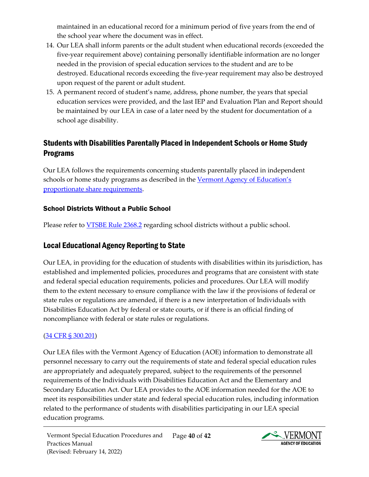maintained in an educational record for a minimum period of five years from the end of the school year where the document was in effect.

- 14. Our LEA shall inform parents or the adult student when educational records (exceeded the five-year requirement above) containing personally identifiable information are no longer needed in the provision of special education services to the student and are to be destroyed. Educational records exceeding the five-year requirement may also be destroyed upon request of the parent or adult student.
- 15. A permanent record of student's name, address, phone number, the years that special education services were provided, and the last IEP and Evaluation Plan and Report should be maintained by our LEA in case of a later need by the student for documentation of a school age disability.

# <span id="page-39-0"></span>Students with Disabilities Parentally Placed in Independent Schools or Home Study Programs

Our LEA follows the requirements concerning students parentally placed in independent schools or home study programs as described in the Vermont Agency of Education's [proportionate share requirements.](https://education.vermont.gov/sites/aoe/files/documents/edu-proportionate-share-requirements-2021_0.pdf)

#### <span id="page-39-1"></span>School Districts Without a Public School

Please refer to **VTSBE Rule 2368.2** regarding school districts without a public school.

# <span id="page-39-2"></span>Local Educational Agency Reporting to State

Our LEA, in providing for the education of students with disabilities within its jurisdiction, has established and implemented policies, procedures and programs that are consistent with state and federal special education requirements, policies and procedures. Our LEA will modify them to the extent necessary to ensure compliance with the law if the provisions of federal or state rules or regulations are amended, if there is a new interpretation of Individuals with Disabilities Education Act by federal or state courts, or if there is an official finding of noncompliance with federal or state rules or regulations.

## [\(34 CFR §](https://sites.ed.gov/idea/regs/b/c/300.201) 300.201)

Our LEA files with the Vermont Agency of Education (AOE) information to demonstrate all personnel necessary to carry out the requirements of state and federal special education rules are appropriately and adequately prepared, subject to the requirements of the personnel requirements of the Individuals with Disabilities Education Act and the Elementary and Secondary Education Act. Our LEA provides to the AOE information needed for the AOE to meet its responsibilities under state and federal special education rules, including information related to the performance of students with disabilities participating in our LEA special education programs.

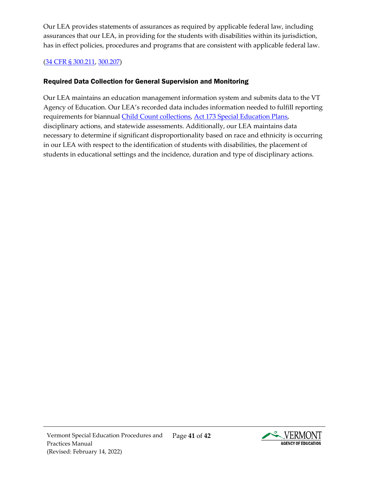Our LEA provides statements of assurances as required by applicable federal law, including assurances that our LEA, in providing for the students with disabilities within its jurisdiction, has in effect policies, procedures and programs that are consistent with applicable federal law.

#### [\(34 CFR §](https://sites.ed.gov/idea/regs/b/c/300.211) 300.211, [300.207\)](https://sites.ed.gov/idea/regs/b/c/300.207)

# <span id="page-40-0"></span>Required Data Collection for General Supervision and Monitoring

Our LEA maintains an education management information system and submits data to the VT Agency of Education. Our LEA's recorded data includes information needed to fulfill reporting requirements for biannual [Child Count collections,](https://education.vermont.gov/calendar/child-count) [Act 173 Special Education Plans,](https://education.vermont.gov/student-support/vermont-special-education/funding) disciplinary actions, and statewide assessments. Additionally, our LEA maintains data necessary to determine if significant disproportionality based on race and ethnicity is occurring in our LEA with respect to the identification of students with disabilities, the placement of students in educational settings and the incidence, duration and type of disciplinary actions.